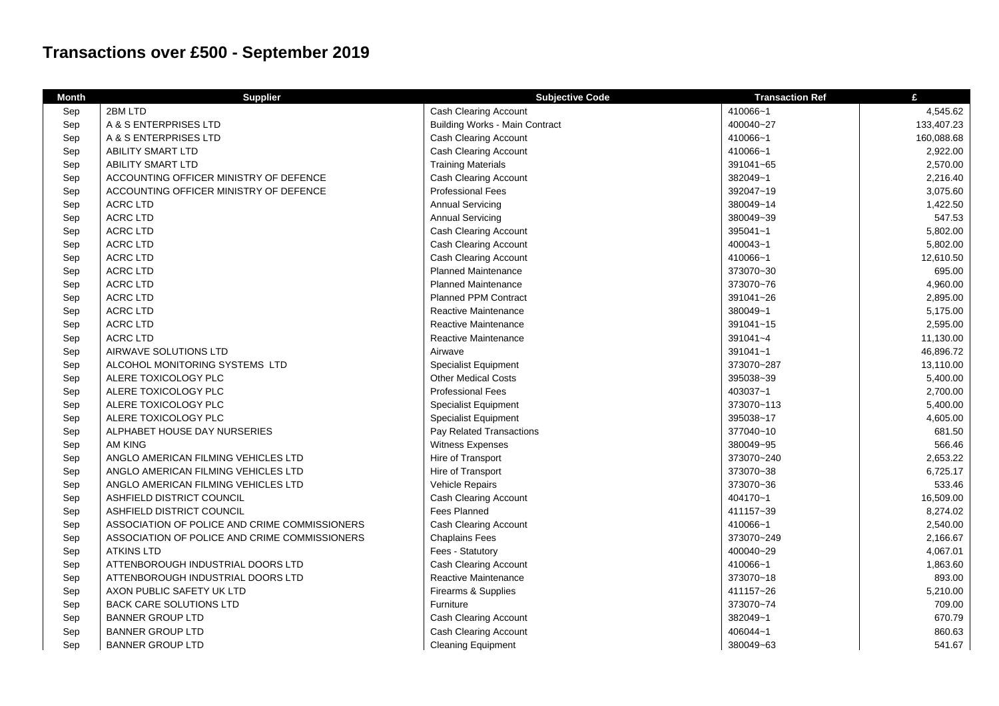## **Transactions over £500 - September 2019**

| <b>Month</b> | <b>Supplier</b>                               | <b>Subjective Code</b>                | <b>Transaction Ref</b> | £          |
|--------------|-----------------------------------------------|---------------------------------------|------------------------|------------|
| Sep          | 2BM LTD                                       | <b>Cash Clearing Account</b>          | 410066~1               | 4,545.62   |
| Sep          | A & S ENTERPRISES LTD                         | <b>Building Works - Main Contract</b> | 400040~27              | 133,407.23 |
| Sep          | A & S ENTERPRISES LTD                         | Cash Clearing Account                 | 410066~1               | 160,088.68 |
| Sep          | <b>ABILITY SMART LTD</b>                      | Cash Clearing Account                 | 410066~1               | 2,922.00   |
| Sep          | <b>ABILITY SMART LTD</b>                      | <b>Training Materials</b>             | 391041~65              | 2,570.00   |
| Sep          | ACCOUNTING OFFICER MINISTRY OF DEFENCE        | <b>Cash Clearing Account</b>          | 382049~1               | 2,216.40   |
| Sep          | ACCOUNTING OFFICER MINISTRY OF DEFENCE        | <b>Professional Fees</b>              | 392047~19              | 3,075.60   |
| Sep          | <b>ACRC LTD</b>                               | <b>Annual Servicing</b>               | 380049~14              | 1,422.50   |
| Sep          | <b>ACRC LTD</b>                               | <b>Annual Servicing</b>               | 380049~39              | 547.53     |
| Sep          | <b>ACRC LTD</b>                               | <b>Cash Clearing Account</b>          | 395041~1               | 5,802.00   |
| Sep          | <b>ACRC LTD</b>                               | <b>Cash Clearing Account</b>          | 400043~1               | 5,802.00   |
| Sep          | <b>ACRC LTD</b>                               | Cash Clearing Account                 | 410066~1               | 12,610.50  |
| Sep          | <b>ACRC LTD</b>                               | <b>Planned Maintenance</b>            | 373070~30              | 695.00     |
| Sep          | <b>ACRC LTD</b>                               | <b>Planned Maintenance</b>            | 373070~76              | 4,960.00   |
| Sep          | <b>ACRC LTD</b>                               | <b>Planned PPM Contract</b>           | 391041~26              | 2,895.00   |
| Sep          | <b>ACRC LTD</b>                               | Reactive Maintenance                  | 380049~1               | 5,175.00   |
| Sep          | <b>ACRC LTD</b>                               | Reactive Maintenance                  | 391041~15              | 2,595.00   |
| Sep          | <b>ACRC LTD</b>                               | Reactive Maintenance                  | 391041~4               | 11,130.00  |
| Sep          | AIRWAVE SOLUTIONS LTD                         | Airwave                               | 391041~1               | 46,896.72  |
| Sep          | ALCOHOL MONITORING SYSTEMS LTD                | <b>Specialist Equipment</b>           | 373070~287             | 13,110.00  |
| Sep          | ALERE TOXICOLOGY PLC                          | <b>Other Medical Costs</b>            | 395038~39              | 5,400.00   |
| Sep          | ALERE TOXICOLOGY PLC                          | <b>Professional Fees</b>              | 403037~1               | 2,700.00   |
| Sep          | ALERE TOXICOLOGY PLC                          | <b>Specialist Equipment</b>           | 373070~113             | 5,400.00   |
| Sep          | ALERE TOXICOLOGY PLC                          | <b>Specialist Equipment</b>           | 395038~17              | 4,605.00   |
| Sep          | ALPHABET HOUSE DAY NURSERIES                  | Pay Related Transactions              | 377040~10              | 681.50     |
| Sep          | <b>AM KING</b>                                | Witness Expenses                      | 380049~95              | 566.46     |
| Sep          | ANGLO AMERICAN FILMING VEHICLES LTD           | Hire of Transport                     | 373070~240             | 2,653.22   |
| Sep          | ANGLO AMERICAN FILMING VEHICLES LTD           | Hire of Transport                     | 373070~38              | 6,725.17   |
| Sep          | ANGLO AMERICAN FILMING VEHICLES LTD           | Vehicle Repairs                       | 373070~36              | 533.46     |
| Sep          | ASHFIELD DISTRICT COUNCIL                     | <b>Cash Clearing Account</b>          | 404170~1               | 16,509.00  |
| Sep          | ASHFIELD DISTRICT COUNCIL                     | Fees Planned                          | 411157~39              | 8,274.02   |
| Sep          | ASSOCIATION OF POLICE AND CRIME COMMISSIONERS | <b>Cash Clearing Account</b>          | 410066~1               | 2,540.00   |
| Sep          | ASSOCIATION OF POLICE AND CRIME COMMISSIONERS | <b>Chaplains Fees</b>                 | 373070~249             | 2,166.67   |
| Sep          | <b>ATKINS LTD</b>                             | Fees - Statutory                      | 400040~29              | 4,067.01   |
| Sep          | ATTENBOROUGH INDUSTRIAL DOORS LTD             | <b>Cash Clearing Account</b>          | 410066~1               | 1,863.60   |
| Sep          | ATTENBOROUGH INDUSTRIAL DOORS LTD             | Reactive Maintenance                  | 373070~18              | 893.00     |
| Sep          | AXON PUBLIC SAFETY UK LTD                     | Firearms & Supplies                   | 411157~26              | 5,210.00   |
| Sep          | <b>BACK CARE SOLUTIONS LTD</b>                | Furniture                             | 373070~74              | 709.00     |
| Sep          | <b>BANNER GROUP LTD</b>                       | <b>Cash Clearing Account</b>          | 382049~1               | 670.79     |
| Sep          | <b>BANNER GROUP LTD</b>                       | Cash Clearing Account                 | 406044~1               | 860.63     |
| Sep          | <b>BANNER GROUP LTD</b>                       | <b>Cleaning Equipment</b>             | 380049~63              | 541.67     |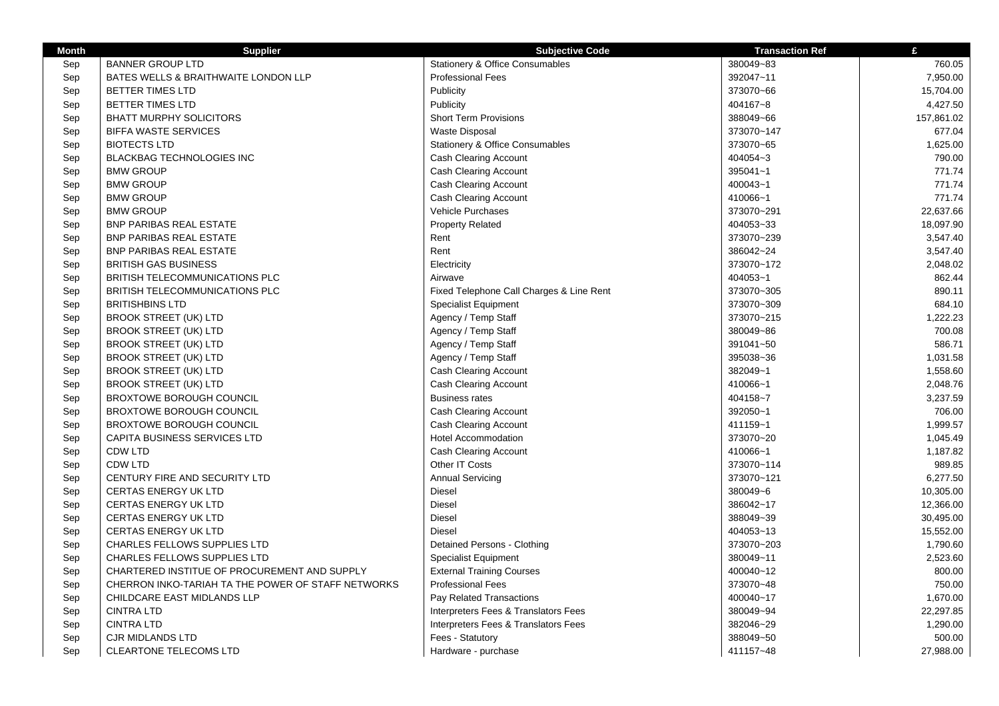| <b>Supplier</b><br><b>BANNER GROUP LTD</b><br>Stationery & Office Consumables<br>380049~83<br>Sep<br>BATES WELLS & BRAITHWAITE LONDON LLP<br><b>Professional Fees</b><br>392047~11<br>Sep<br>Publicity<br>373070~66<br>Sep<br><b>BETTER TIMES LTD</b><br><b>BETTER TIMES LTD</b><br>Publicity<br>404167~8<br>Sep<br><b>Short Term Provisions</b><br>Sep<br><b>BHATT MURPHY SOLICITORS</b><br>388049~66<br><b>BIFFA WASTE SERVICES</b><br>Waste Disposal<br>373070~147<br>Sep<br>Stationery & Office Consumables<br>373070~65<br>Sep<br><b>BIOTECTS LTD</b><br><b>BLACKBAG TECHNOLOGIES INC</b><br><b>Cash Clearing Account</b><br>404054~3<br>Sep<br>Sep<br><b>Cash Clearing Account</b><br>395041~1<br><b>BMW GROUP</b><br><b>BMW GROUP</b><br><b>Cash Clearing Account</b><br>400043~1<br>Sep<br>Sep<br><b>BMW GROUP</b><br><b>Cash Clearing Account</b><br>410066~1<br>Sep<br><b>BMW GROUP</b><br><b>Vehicle Purchases</b><br>373070~291<br>Sep<br><b>BNP PARIBAS REAL ESTATE</b><br><b>Property Related</b><br>404053~33<br>Sep<br><b>BNP PARIBAS REAL ESTATE</b><br>Rent<br>373070~239<br>Rent<br>Sep<br>386042~24<br><b>BNP PARIBAS REAL ESTATE</b><br><b>BRITISH GAS BUSINESS</b><br>Electricity<br>373070~172<br>Sep<br>Sep<br><b>BRITISH TELECOMMUNICATIONS PLC</b><br>Airwave<br>404053~1 |            |
|-----------------------------------------------------------------------------------------------------------------------------------------------------------------------------------------------------------------------------------------------------------------------------------------------------------------------------------------------------------------------------------------------------------------------------------------------------------------------------------------------------------------------------------------------------------------------------------------------------------------------------------------------------------------------------------------------------------------------------------------------------------------------------------------------------------------------------------------------------------------------------------------------------------------------------------------------------------------------------------------------------------------------------------------------------------------------------------------------------------------------------------------------------------------------------------------------------------------------------------------------------------------------------------------------------|------------|
|                                                                                                                                                                                                                                                                                                                                                                                                                                                                                                                                                                                                                                                                                                                                                                                                                                                                                                                                                                                                                                                                                                                                                                                                                                                                                                     | 760.05     |
|                                                                                                                                                                                                                                                                                                                                                                                                                                                                                                                                                                                                                                                                                                                                                                                                                                                                                                                                                                                                                                                                                                                                                                                                                                                                                                     | 7,950.00   |
|                                                                                                                                                                                                                                                                                                                                                                                                                                                                                                                                                                                                                                                                                                                                                                                                                                                                                                                                                                                                                                                                                                                                                                                                                                                                                                     | 15,704.00  |
|                                                                                                                                                                                                                                                                                                                                                                                                                                                                                                                                                                                                                                                                                                                                                                                                                                                                                                                                                                                                                                                                                                                                                                                                                                                                                                     | 4,427.50   |
|                                                                                                                                                                                                                                                                                                                                                                                                                                                                                                                                                                                                                                                                                                                                                                                                                                                                                                                                                                                                                                                                                                                                                                                                                                                                                                     | 157,861.02 |
|                                                                                                                                                                                                                                                                                                                                                                                                                                                                                                                                                                                                                                                                                                                                                                                                                                                                                                                                                                                                                                                                                                                                                                                                                                                                                                     | 677.04     |
|                                                                                                                                                                                                                                                                                                                                                                                                                                                                                                                                                                                                                                                                                                                                                                                                                                                                                                                                                                                                                                                                                                                                                                                                                                                                                                     | 1,625.00   |
|                                                                                                                                                                                                                                                                                                                                                                                                                                                                                                                                                                                                                                                                                                                                                                                                                                                                                                                                                                                                                                                                                                                                                                                                                                                                                                     | 790.00     |
|                                                                                                                                                                                                                                                                                                                                                                                                                                                                                                                                                                                                                                                                                                                                                                                                                                                                                                                                                                                                                                                                                                                                                                                                                                                                                                     | 771.74     |
|                                                                                                                                                                                                                                                                                                                                                                                                                                                                                                                                                                                                                                                                                                                                                                                                                                                                                                                                                                                                                                                                                                                                                                                                                                                                                                     | 771.74     |
|                                                                                                                                                                                                                                                                                                                                                                                                                                                                                                                                                                                                                                                                                                                                                                                                                                                                                                                                                                                                                                                                                                                                                                                                                                                                                                     | 771.74     |
|                                                                                                                                                                                                                                                                                                                                                                                                                                                                                                                                                                                                                                                                                                                                                                                                                                                                                                                                                                                                                                                                                                                                                                                                                                                                                                     | 22,637.66  |
|                                                                                                                                                                                                                                                                                                                                                                                                                                                                                                                                                                                                                                                                                                                                                                                                                                                                                                                                                                                                                                                                                                                                                                                                                                                                                                     | 18,097.90  |
|                                                                                                                                                                                                                                                                                                                                                                                                                                                                                                                                                                                                                                                                                                                                                                                                                                                                                                                                                                                                                                                                                                                                                                                                                                                                                                     | 3,547.40   |
|                                                                                                                                                                                                                                                                                                                                                                                                                                                                                                                                                                                                                                                                                                                                                                                                                                                                                                                                                                                                                                                                                                                                                                                                                                                                                                     | 3,547.40   |
|                                                                                                                                                                                                                                                                                                                                                                                                                                                                                                                                                                                                                                                                                                                                                                                                                                                                                                                                                                                                                                                                                                                                                                                                                                                                                                     | 2,048.02   |
|                                                                                                                                                                                                                                                                                                                                                                                                                                                                                                                                                                                                                                                                                                                                                                                                                                                                                                                                                                                                                                                                                                                                                                                                                                                                                                     | 862.44     |
| BRITISH TELECOMMUNICATIONS PLC<br>Fixed Telephone Call Charges & Line Rent<br>373070~305<br>Sep                                                                                                                                                                                                                                                                                                                                                                                                                                                                                                                                                                                                                                                                                                                                                                                                                                                                                                                                                                                                                                                                                                                                                                                                     | 890.11     |
| Sep<br><b>BRITISHBINS LTD</b><br><b>Specialist Equipment</b><br>373070~309                                                                                                                                                                                                                                                                                                                                                                                                                                                                                                                                                                                                                                                                                                                                                                                                                                                                                                                                                                                                                                                                                                                                                                                                                          | 684.10     |
| Sep<br><b>BROOK STREET (UK) LTD</b><br>Agency / Temp Staff<br>373070~215                                                                                                                                                                                                                                                                                                                                                                                                                                                                                                                                                                                                                                                                                                                                                                                                                                                                                                                                                                                                                                                                                                                                                                                                                            | 1,222.23   |
| Agency / Temp Staff<br>380049~86<br>Sep<br><b>BROOK STREET (UK) LTD</b>                                                                                                                                                                                                                                                                                                                                                                                                                                                                                                                                                                                                                                                                                                                                                                                                                                                                                                                                                                                                                                                                                                                                                                                                                             | 700.08     |
| Sep<br><b>BROOK STREET (UK) LTD</b><br>Agency / Temp Staff<br>391041~50                                                                                                                                                                                                                                                                                                                                                                                                                                                                                                                                                                                                                                                                                                                                                                                                                                                                                                                                                                                                                                                                                                                                                                                                                             | 586.71     |
| Sep<br>Agency / Temp Staff<br>395038~36<br><b>BROOK STREET (UK) LTD</b>                                                                                                                                                                                                                                                                                                                                                                                                                                                                                                                                                                                                                                                                                                                                                                                                                                                                                                                                                                                                                                                                                                                                                                                                                             | 1,031.58   |
| Sep<br><b>BROOK STREET (UK) LTD</b><br>Cash Clearing Account<br>382049~1                                                                                                                                                                                                                                                                                                                                                                                                                                                                                                                                                                                                                                                                                                                                                                                                                                                                                                                                                                                                                                                                                                                                                                                                                            | 1,558.60   |
| Sep<br>Cash Clearing Account<br>410066~1<br><b>BROOK STREET (UK) LTD</b>                                                                                                                                                                                                                                                                                                                                                                                                                                                                                                                                                                                                                                                                                                                                                                                                                                                                                                                                                                                                                                                                                                                                                                                                                            | 2,048.76   |
| Sep<br><b>BROXTOWE BOROUGH COUNCIL</b><br><b>Business rates</b><br>404158~7                                                                                                                                                                                                                                                                                                                                                                                                                                                                                                                                                                                                                                                                                                                                                                                                                                                                                                                                                                                                                                                                                                                                                                                                                         | 3,237.59   |
| 392050~1<br>Sep<br><b>BROXTOWE BOROUGH COUNCIL</b><br>Cash Clearing Account                                                                                                                                                                                                                                                                                                                                                                                                                                                                                                                                                                                                                                                                                                                                                                                                                                                                                                                                                                                                                                                                                                                                                                                                                         | 706.00     |
| 411159~1<br>Sep<br><b>BROXTOWE BOROUGH COUNCIL</b><br><b>Cash Clearing Account</b>                                                                                                                                                                                                                                                                                                                                                                                                                                                                                                                                                                                                                                                                                                                                                                                                                                                                                                                                                                                                                                                                                                                                                                                                                  | 1,999.57   |
| CAPITA BUSINESS SERVICES LTD<br><b>Hotel Accommodation</b><br>373070~20<br>Sep                                                                                                                                                                                                                                                                                                                                                                                                                                                                                                                                                                                                                                                                                                                                                                                                                                                                                                                                                                                                                                                                                                                                                                                                                      | 1,045.49   |
| 410066~1<br>Sep<br>CDW LTD<br>Cash Clearing Account                                                                                                                                                                                                                                                                                                                                                                                                                                                                                                                                                                                                                                                                                                                                                                                                                                                                                                                                                                                                                                                                                                                                                                                                                                                 | 1,187.82   |
| Other IT Costs<br>Sep<br>CDW LTD<br>373070~114                                                                                                                                                                                                                                                                                                                                                                                                                                                                                                                                                                                                                                                                                                                                                                                                                                                                                                                                                                                                                                                                                                                                                                                                                                                      | 989.85     |
| <b>Annual Servicing</b><br>373070~121<br>Sep<br>CENTURY FIRE AND SECURITY LTD                                                                                                                                                                                                                                                                                                                                                                                                                                                                                                                                                                                                                                                                                                                                                                                                                                                                                                                                                                                                                                                                                                                                                                                                                       | 6,277.50   |
| <b>Diesel</b><br>Sep<br><b>CERTAS ENERGY UK LTD</b><br>380049~6                                                                                                                                                                                                                                                                                                                                                                                                                                                                                                                                                                                                                                                                                                                                                                                                                                                                                                                                                                                                                                                                                                                                                                                                                                     | 10,305.00  |
| <b>Diesel</b><br>386042~17<br>Sep<br><b>CERTAS ENERGY UK LTD</b>                                                                                                                                                                                                                                                                                                                                                                                                                                                                                                                                                                                                                                                                                                                                                                                                                                                                                                                                                                                                                                                                                                                                                                                                                                    | 12,366.00  |
| <b>Diesel</b><br>Sep<br><b>CERTAS ENERGY UK LTD</b><br>388049~39                                                                                                                                                                                                                                                                                                                                                                                                                                                                                                                                                                                                                                                                                                                                                                                                                                                                                                                                                                                                                                                                                                                                                                                                                                    | 30,495.00  |
| Diesel<br>404053~13<br>Sep<br><b>CERTAS ENERGY UK LTD</b>                                                                                                                                                                                                                                                                                                                                                                                                                                                                                                                                                                                                                                                                                                                                                                                                                                                                                                                                                                                                                                                                                                                                                                                                                                           | 15,552.00  |
| Sep<br>CHARLES FELLOWS SUPPLIES LTD<br>Detained Persons - Clothing<br>373070~203                                                                                                                                                                                                                                                                                                                                                                                                                                                                                                                                                                                                                                                                                                                                                                                                                                                                                                                                                                                                                                                                                                                                                                                                                    | 1,790.60   |
| 380049~11<br>Sep<br><b>CHARLES FELLOWS SUPPLIES LTD</b><br><b>Specialist Equipment</b>                                                                                                                                                                                                                                                                                                                                                                                                                                                                                                                                                                                                                                                                                                                                                                                                                                                                                                                                                                                                                                                                                                                                                                                                              | 2,523.60   |
| <b>External Training Courses</b><br>Sep<br>CHARTERED INSTITUE OF PROCUREMENT AND SUPPLY<br>400040~12                                                                                                                                                                                                                                                                                                                                                                                                                                                                                                                                                                                                                                                                                                                                                                                                                                                                                                                                                                                                                                                                                                                                                                                                | 800.00     |
| <b>Professional Fees</b><br>Sep<br>CHERRON INKO-TARIAH TA THE POWER OF STAFF NETWORKS<br>373070~48                                                                                                                                                                                                                                                                                                                                                                                                                                                                                                                                                                                                                                                                                                                                                                                                                                                                                                                                                                                                                                                                                                                                                                                                  | 750.00     |
| Sep<br>CHILDCARE EAST MIDLANDS LLP<br>Pay Related Transactions<br>400040~17                                                                                                                                                                                                                                                                                                                                                                                                                                                                                                                                                                                                                                                                                                                                                                                                                                                                                                                                                                                                                                                                                                                                                                                                                         | 1,670.00   |
| <b>CINTRA LTD</b><br>380049~94<br>Sep<br>Interpreters Fees & Translators Fees                                                                                                                                                                                                                                                                                                                                                                                                                                                                                                                                                                                                                                                                                                                                                                                                                                                                                                                                                                                                                                                                                                                                                                                                                       | 22,297.85  |
| <b>CINTRA LTD</b><br>382046~29<br>Sep<br>Interpreters Fees & Translators Fees                                                                                                                                                                                                                                                                                                                                                                                                                                                                                                                                                                                                                                                                                                                                                                                                                                                                                                                                                                                                                                                                                                                                                                                                                       | 1,290.00   |
| <b>CJR MIDLANDS LTD</b><br>388049~50<br>Sep<br>Fees - Statutory                                                                                                                                                                                                                                                                                                                                                                                                                                                                                                                                                                                                                                                                                                                                                                                                                                                                                                                                                                                                                                                                                                                                                                                                                                     | 500.00     |
| CLEARTONE TELECOMS LTD<br>Sep<br>Hardware - purchase<br>411157~48                                                                                                                                                                                                                                                                                                                                                                                                                                                                                                                                                                                                                                                                                                                                                                                                                                                                                                                                                                                                                                                                                                                                                                                                                                   | 27,988.00  |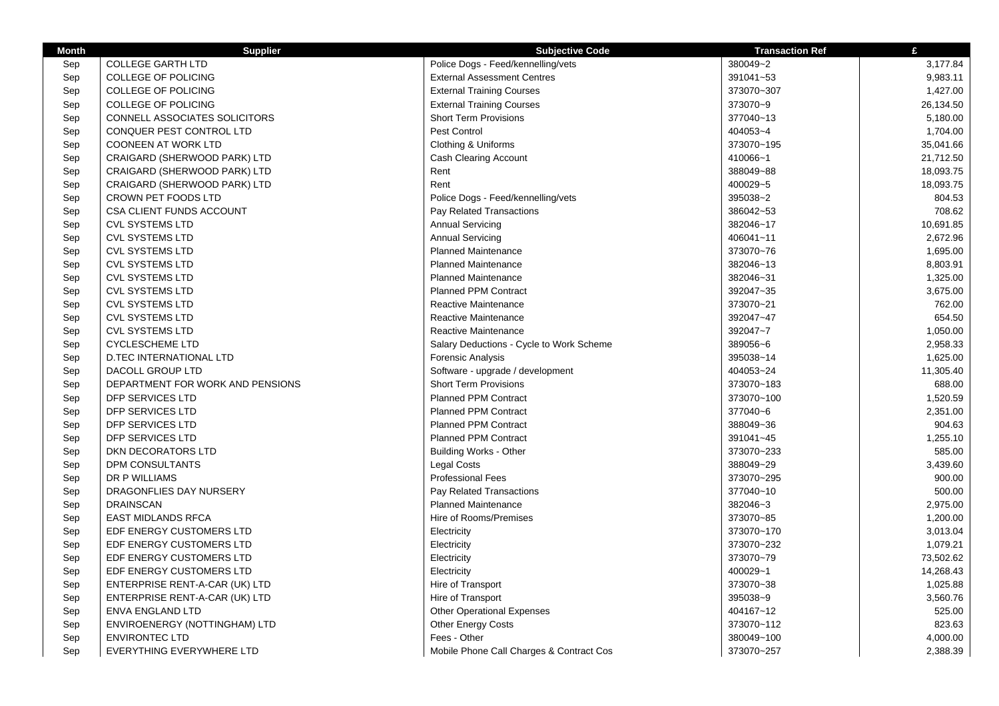| <b>COLLEGE GARTH LTD</b><br>Police Dogs - Feed/kennelling/vets<br>380049~2<br>3,177.84<br>Sep<br><b>COLLEGE OF POLICING</b><br><b>External Assessment Centres</b><br>391041~53<br>9,983.11<br>Sep<br><b>External Training Courses</b><br>1,427.00<br>Sep<br><b>COLLEGE OF POLICING</b><br>373070~307<br><b>COLLEGE OF POLICING</b><br>373070~9<br>26,134.50<br>Sep<br><b>External Training Courses</b><br>CONNELL ASSOCIATES SOLICITORS<br><b>Short Term Provisions</b><br>377040~13<br>5,180.00<br>Sep<br>CONQUER PEST CONTROL LTD<br>Pest Control<br>404053~4<br>1,704.00<br>Sep<br>35,041.66<br>Sep<br><b>COONEEN AT WORK LTD</b><br>Clothing & Uniforms<br>373070~195<br>CRAIGARD (SHERWOOD PARK) LTD<br>Cash Clearing Account<br>410066~1<br>21,712.50<br>Sep<br>Sep<br>CRAIGARD (SHERWOOD PARK) LTD<br>Rent<br>388049~88<br>18,093.75<br>Rent<br>400029~5<br>Sep<br>CRAIGARD (SHERWOOD PARK) LTD<br>18,093.75<br>395038~2<br>Sep<br>CROWN PET FOODS LTD<br>Police Dogs - Feed/kennelling/vets<br>804.53<br>386042~53<br>708.62<br>Sep<br>CSA CLIENT FUNDS ACCOUNT<br>Pay Related Transactions<br><b>CVL SYSTEMS LTD</b><br><b>Annual Servicing</b><br>382046~17<br>10,691.85<br>Sep<br><b>Annual Servicing</b><br>2,672.96<br>Sep<br><b>CVL SYSTEMS LTD</b><br>406041~11<br>Sep<br><b>CVL SYSTEMS LTD</b><br><b>Planned Maintenance</b><br>373070~76<br>1,695.00<br>Planned Maintenance<br><b>CVL SYSTEMS LTD</b><br>382046~13<br>8,803.91<br>Sep<br>Sep<br><b>CVL SYSTEMS LTD</b><br><b>Planned Maintenance</b><br>382046~31<br>1,325.00<br><b>Planned PPM Contract</b><br>3,675.00<br><b>CVL SYSTEMS LTD</b><br>392047~35<br>Sep<br>762.00<br>Sep<br><b>CVL SYSTEMS LTD</b><br>Reactive Maintenance<br>373070~21<br>654.50<br>Sep<br><b>CVL SYSTEMS LTD</b><br>Reactive Maintenance<br>392047~47<br><b>CVL SYSTEMS LTD</b><br>Reactive Maintenance<br>392047~7<br>1,050.00<br>Sep<br><b>CYCLESCHEME LTD</b><br>389056~6<br>2,958.33<br>Sep<br>Salary Deductions - Cycle to Work Scheme<br>Sep<br><b>D.TEC INTERNATIONAL LTD</b><br>Forensic Analysis<br>395038~14<br>1,625.00<br>DACOLL GROUP LTD<br>404053~24<br>11,305.40<br>Sep<br>Software - upgrade / development<br>Sep<br>DEPARTMENT FOR WORK AND PENSIONS<br><b>Short Term Provisions</b><br>373070~183<br>688.00<br><b>Planned PPM Contract</b><br>373070~100<br>1,520.59<br>DFP SERVICES LTD<br>Sep<br>Sep<br>DFP SERVICES LTD<br><b>Planned PPM Contract</b><br>377040~6<br>2,351.00<br><b>Planned PPM Contract</b><br>904.63<br>Sep<br>DFP SERVICES LTD<br>388049~36<br>DFP SERVICES LTD<br><b>Planned PPM Contract</b><br>391041~45<br>1,255.10<br>Sep<br>585.00<br>Sep<br><b>DKN DECORATORS LTD</b><br><b>Building Works - Other</b><br>373070~233<br>Sep<br>DPM CONSULTANTS<br>Legal Costs<br>388049~29<br>3,439.60<br>DR P WILLIAMS<br><b>Professional Fees</b><br>373070~295<br>900.00<br>Sep<br>Sep<br>DRAGONFLIES DAY NURSERY<br>Pay Related Transactions<br>377040~10<br>500.00<br>Planned Maintenance<br>2,975.00<br><b>DRAINSCAN</b><br>382046~3<br>Sep<br>Hire of Rooms/Premises<br>373070~85<br>1,200.00<br>Sep<br><b>EAST MIDLANDS RFCA</b><br>Sep<br>EDF ENERGY CUSTOMERS LTD<br>373070~170<br>3,013.04<br>Electricity<br>EDF ENERGY CUSTOMERS LTD<br>Electricity<br>373070~232<br>1,079.21<br>Sep<br>Sep<br>EDF ENERGY CUSTOMERS LTD<br>Electricity<br>373070~79<br>73,502.62<br>EDF ENERGY CUSTOMERS LTD<br>Electricity<br>400029~1<br>14,268.43<br>Sep<br>Hire of Transport<br>373070~38<br>1,025.88<br>Sep<br>ENTERPRISE RENT-A-CAR (UK) LTD<br>Hire of Transport<br>395038~9<br>3,560.76<br>Sep<br>ENTERPRISE RENT-A-CAR (UK) LTD<br><b>Other Operational Expenses</b><br>404167~12<br>525.00<br>Sep<br>ENVA ENGLAND LTD<br>ENVIROENERGY (NOTTINGHAM) LTD<br><b>Other Energy Costs</b><br>373070~112<br>823.63<br>Sep<br>Sep<br><b>ENVIRONTEC LTD</b><br>380049~100<br>4,000.00<br>Fees - Other | <b>Month</b> | <b>Supplier</b>           | <b>Subjective Code</b>                   | <b>Transaction Ref</b> | £        |
|----------------------------------------------------------------------------------------------------------------------------------------------------------------------------------------------------------------------------------------------------------------------------------------------------------------------------------------------------------------------------------------------------------------------------------------------------------------------------------------------------------------------------------------------------------------------------------------------------------------------------------------------------------------------------------------------------------------------------------------------------------------------------------------------------------------------------------------------------------------------------------------------------------------------------------------------------------------------------------------------------------------------------------------------------------------------------------------------------------------------------------------------------------------------------------------------------------------------------------------------------------------------------------------------------------------------------------------------------------------------------------------------------------------------------------------------------------------------------------------------------------------------------------------------------------------------------------------------------------------------------------------------------------------------------------------------------------------------------------------------------------------------------------------------------------------------------------------------------------------------------------------------------------------------------------------------------------------------------------------------------------------------------------------------------------------------------------------------------------------------------------------------------------------------------------------------------------------------------------------------------------------------------------------------------------------------------------------------------------------------------------------------------------------------------------------------------------------------------------------------------------------------------------------------------------------------------------------------------------------------------------------------------------------------------------------------------------------------------------------------------------------------------------------------------------------------------------------------------------------------------------------------------------------------------------------------------------------------------------------------------------------------------------------------------------------------------------------------------------------------------------------------------------------------------------------------------------------------------------------------------------------------------------------------------------------------------------------------------------------------------------------------------------------------------------------------------------------------------------------------------------------------------------------------------------------------------------------------------------------------------------------------------------------------------------------------------------------------------------------------------------------------------------------------------------------------------------------------------------------------------------------|--------------|---------------------------|------------------------------------------|------------------------|----------|
|                                                                                                                                                                                                                                                                                                                                                                                                                                                                                                                                                                                                                                                                                                                                                                                                                                                                                                                                                                                                                                                                                                                                                                                                                                                                                                                                                                                                                                                                                                                                                                                                                                                                                                                                                                                                                                                                                                                                                                                                                                                                                                                                                                                                                                                                                                                                                                                                                                                                                                                                                                                                                                                                                                                                                                                                                                                                                                                                                                                                                                                                                                                                                                                                                                                                                                                                                                                                                                                                                                                                                                                                                                                                                                                                                                                                                                                                                        |              |                           |                                          |                        |          |
|                                                                                                                                                                                                                                                                                                                                                                                                                                                                                                                                                                                                                                                                                                                                                                                                                                                                                                                                                                                                                                                                                                                                                                                                                                                                                                                                                                                                                                                                                                                                                                                                                                                                                                                                                                                                                                                                                                                                                                                                                                                                                                                                                                                                                                                                                                                                                                                                                                                                                                                                                                                                                                                                                                                                                                                                                                                                                                                                                                                                                                                                                                                                                                                                                                                                                                                                                                                                                                                                                                                                                                                                                                                                                                                                                                                                                                                                                        |              |                           |                                          |                        |          |
|                                                                                                                                                                                                                                                                                                                                                                                                                                                                                                                                                                                                                                                                                                                                                                                                                                                                                                                                                                                                                                                                                                                                                                                                                                                                                                                                                                                                                                                                                                                                                                                                                                                                                                                                                                                                                                                                                                                                                                                                                                                                                                                                                                                                                                                                                                                                                                                                                                                                                                                                                                                                                                                                                                                                                                                                                                                                                                                                                                                                                                                                                                                                                                                                                                                                                                                                                                                                                                                                                                                                                                                                                                                                                                                                                                                                                                                                                        |              |                           |                                          |                        |          |
|                                                                                                                                                                                                                                                                                                                                                                                                                                                                                                                                                                                                                                                                                                                                                                                                                                                                                                                                                                                                                                                                                                                                                                                                                                                                                                                                                                                                                                                                                                                                                                                                                                                                                                                                                                                                                                                                                                                                                                                                                                                                                                                                                                                                                                                                                                                                                                                                                                                                                                                                                                                                                                                                                                                                                                                                                                                                                                                                                                                                                                                                                                                                                                                                                                                                                                                                                                                                                                                                                                                                                                                                                                                                                                                                                                                                                                                                                        |              |                           |                                          |                        |          |
|                                                                                                                                                                                                                                                                                                                                                                                                                                                                                                                                                                                                                                                                                                                                                                                                                                                                                                                                                                                                                                                                                                                                                                                                                                                                                                                                                                                                                                                                                                                                                                                                                                                                                                                                                                                                                                                                                                                                                                                                                                                                                                                                                                                                                                                                                                                                                                                                                                                                                                                                                                                                                                                                                                                                                                                                                                                                                                                                                                                                                                                                                                                                                                                                                                                                                                                                                                                                                                                                                                                                                                                                                                                                                                                                                                                                                                                                                        |              |                           |                                          |                        |          |
|                                                                                                                                                                                                                                                                                                                                                                                                                                                                                                                                                                                                                                                                                                                                                                                                                                                                                                                                                                                                                                                                                                                                                                                                                                                                                                                                                                                                                                                                                                                                                                                                                                                                                                                                                                                                                                                                                                                                                                                                                                                                                                                                                                                                                                                                                                                                                                                                                                                                                                                                                                                                                                                                                                                                                                                                                                                                                                                                                                                                                                                                                                                                                                                                                                                                                                                                                                                                                                                                                                                                                                                                                                                                                                                                                                                                                                                                                        |              |                           |                                          |                        |          |
|                                                                                                                                                                                                                                                                                                                                                                                                                                                                                                                                                                                                                                                                                                                                                                                                                                                                                                                                                                                                                                                                                                                                                                                                                                                                                                                                                                                                                                                                                                                                                                                                                                                                                                                                                                                                                                                                                                                                                                                                                                                                                                                                                                                                                                                                                                                                                                                                                                                                                                                                                                                                                                                                                                                                                                                                                                                                                                                                                                                                                                                                                                                                                                                                                                                                                                                                                                                                                                                                                                                                                                                                                                                                                                                                                                                                                                                                                        |              |                           |                                          |                        |          |
|                                                                                                                                                                                                                                                                                                                                                                                                                                                                                                                                                                                                                                                                                                                                                                                                                                                                                                                                                                                                                                                                                                                                                                                                                                                                                                                                                                                                                                                                                                                                                                                                                                                                                                                                                                                                                                                                                                                                                                                                                                                                                                                                                                                                                                                                                                                                                                                                                                                                                                                                                                                                                                                                                                                                                                                                                                                                                                                                                                                                                                                                                                                                                                                                                                                                                                                                                                                                                                                                                                                                                                                                                                                                                                                                                                                                                                                                                        |              |                           |                                          |                        |          |
|                                                                                                                                                                                                                                                                                                                                                                                                                                                                                                                                                                                                                                                                                                                                                                                                                                                                                                                                                                                                                                                                                                                                                                                                                                                                                                                                                                                                                                                                                                                                                                                                                                                                                                                                                                                                                                                                                                                                                                                                                                                                                                                                                                                                                                                                                                                                                                                                                                                                                                                                                                                                                                                                                                                                                                                                                                                                                                                                                                                                                                                                                                                                                                                                                                                                                                                                                                                                                                                                                                                                                                                                                                                                                                                                                                                                                                                                                        |              |                           |                                          |                        |          |
|                                                                                                                                                                                                                                                                                                                                                                                                                                                                                                                                                                                                                                                                                                                                                                                                                                                                                                                                                                                                                                                                                                                                                                                                                                                                                                                                                                                                                                                                                                                                                                                                                                                                                                                                                                                                                                                                                                                                                                                                                                                                                                                                                                                                                                                                                                                                                                                                                                                                                                                                                                                                                                                                                                                                                                                                                                                                                                                                                                                                                                                                                                                                                                                                                                                                                                                                                                                                                                                                                                                                                                                                                                                                                                                                                                                                                                                                                        |              |                           |                                          |                        |          |
|                                                                                                                                                                                                                                                                                                                                                                                                                                                                                                                                                                                                                                                                                                                                                                                                                                                                                                                                                                                                                                                                                                                                                                                                                                                                                                                                                                                                                                                                                                                                                                                                                                                                                                                                                                                                                                                                                                                                                                                                                                                                                                                                                                                                                                                                                                                                                                                                                                                                                                                                                                                                                                                                                                                                                                                                                                                                                                                                                                                                                                                                                                                                                                                                                                                                                                                                                                                                                                                                                                                                                                                                                                                                                                                                                                                                                                                                                        |              |                           |                                          |                        |          |
|                                                                                                                                                                                                                                                                                                                                                                                                                                                                                                                                                                                                                                                                                                                                                                                                                                                                                                                                                                                                                                                                                                                                                                                                                                                                                                                                                                                                                                                                                                                                                                                                                                                                                                                                                                                                                                                                                                                                                                                                                                                                                                                                                                                                                                                                                                                                                                                                                                                                                                                                                                                                                                                                                                                                                                                                                                                                                                                                                                                                                                                                                                                                                                                                                                                                                                                                                                                                                                                                                                                                                                                                                                                                                                                                                                                                                                                                                        |              |                           |                                          |                        |          |
|                                                                                                                                                                                                                                                                                                                                                                                                                                                                                                                                                                                                                                                                                                                                                                                                                                                                                                                                                                                                                                                                                                                                                                                                                                                                                                                                                                                                                                                                                                                                                                                                                                                                                                                                                                                                                                                                                                                                                                                                                                                                                                                                                                                                                                                                                                                                                                                                                                                                                                                                                                                                                                                                                                                                                                                                                                                                                                                                                                                                                                                                                                                                                                                                                                                                                                                                                                                                                                                                                                                                                                                                                                                                                                                                                                                                                                                                                        |              |                           |                                          |                        |          |
|                                                                                                                                                                                                                                                                                                                                                                                                                                                                                                                                                                                                                                                                                                                                                                                                                                                                                                                                                                                                                                                                                                                                                                                                                                                                                                                                                                                                                                                                                                                                                                                                                                                                                                                                                                                                                                                                                                                                                                                                                                                                                                                                                                                                                                                                                                                                                                                                                                                                                                                                                                                                                                                                                                                                                                                                                                                                                                                                                                                                                                                                                                                                                                                                                                                                                                                                                                                                                                                                                                                                                                                                                                                                                                                                                                                                                                                                                        |              |                           |                                          |                        |          |
|                                                                                                                                                                                                                                                                                                                                                                                                                                                                                                                                                                                                                                                                                                                                                                                                                                                                                                                                                                                                                                                                                                                                                                                                                                                                                                                                                                                                                                                                                                                                                                                                                                                                                                                                                                                                                                                                                                                                                                                                                                                                                                                                                                                                                                                                                                                                                                                                                                                                                                                                                                                                                                                                                                                                                                                                                                                                                                                                                                                                                                                                                                                                                                                                                                                                                                                                                                                                                                                                                                                                                                                                                                                                                                                                                                                                                                                                                        |              |                           |                                          |                        |          |
|                                                                                                                                                                                                                                                                                                                                                                                                                                                                                                                                                                                                                                                                                                                                                                                                                                                                                                                                                                                                                                                                                                                                                                                                                                                                                                                                                                                                                                                                                                                                                                                                                                                                                                                                                                                                                                                                                                                                                                                                                                                                                                                                                                                                                                                                                                                                                                                                                                                                                                                                                                                                                                                                                                                                                                                                                                                                                                                                                                                                                                                                                                                                                                                                                                                                                                                                                                                                                                                                                                                                                                                                                                                                                                                                                                                                                                                                                        |              |                           |                                          |                        |          |
|                                                                                                                                                                                                                                                                                                                                                                                                                                                                                                                                                                                                                                                                                                                                                                                                                                                                                                                                                                                                                                                                                                                                                                                                                                                                                                                                                                                                                                                                                                                                                                                                                                                                                                                                                                                                                                                                                                                                                                                                                                                                                                                                                                                                                                                                                                                                                                                                                                                                                                                                                                                                                                                                                                                                                                                                                                                                                                                                                                                                                                                                                                                                                                                                                                                                                                                                                                                                                                                                                                                                                                                                                                                                                                                                                                                                                                                                                        |              |                           |                                          |                        |          |
|                                                                                                                                                                                                                                                                                                                                                                                                                                                                                                                                                                                                                                                                                                                                                                                                                                                                                                                                                                                                                                                                                                                                                                                                                                                                                                                                                                                                                                                                                                                                                                                                                                                                                                                                                                                                                                                                                                                                                                                                                                                                                                                                                                                                                                                                                                                                                                                                                                                                                                                                                                                                                                                                                                                                                                                                                                                                                                                                                                                                                                                                                                                                                                                                                                                                                                                                                                                                                                                                                                                                                                                                                                                                                                                                                                                                                                                                                        |              |                           |                                          |                        |          |
|                                                                                                                                                                                                                                                                                                                                                                                                                                                                                                                                                                                                                                                                                                                                                                                                                                                                                                                                                                                                                                                                                                                                                                                                                                                                                                                                                                                                                                                                                                                                                                                                                                                                                                                                                                                                                                                                                                                                                                                                                                                                                                                                                                                                                                                                                                                                                                                                                                                                                                                                                                                                                                                                                                                                                                                                                                                                                                                                                                                                                                                                                                                                                                                                                                                                                                                                                                                                                                                                                                                                                                                                                                                                                                                                                                                                                                                                                        |              |                           |                                          |                        |          |
|                                                                                                                                                                                                                                                                                                                                                                                                                                                                                                                                                                                                                                                                                                                                                                                                                                                                                                                                                                                                                                                                                                                                                                                                                                                                                                                                                                                                                                                                                                                                                                                                                                                                                                                                                                                                                                                                                                                                                                                                                                                                                                                                                                                                                                                                                                                                                                                                                                                                                                                                                                                                                                                                                                                                                                                                                                                                                                                                                                                                                                                                                                                                                                                                                                                                                                                                                                                                                                                                                                                                                                                                                                                                                                                                                                                                                                                                                        |              |                           |                                          |                        |          |
|                                                                                                                                                                                                                                                                                                                                                                                                                                                                                                                                                                                                                                                                                                                                                                                                                                                                                                                                                                                                                                                                                                                                                                                                                                                                                                                                                                                                                                                                                                                                                                                                                                                                                                                                                                                                                                                                                                                                                                                                                                                                                                                                                                                                                                                                                                                                                                                                                                                                                                                                                                                                                                                                                                                                                                                                                                                                                                                                                                                                                                                                                                                                                                                                                                                                                                                                                                                                                                                                                                                                                                                                                                                                                                                                                                                                                                                                                        |              |                           |                                          |                        |          |
|                                                                                                                                                                                                                                                                                                                                                                                                                                                                                                                                                                                                                                                                                                                                                                                                                                                                                                                                                                                                                                                                                                                                                                                                                                                                                                                                                                                                                                                                                                                                                                                                                                                                                                                                                                                                                                                                                                                                                                                                                                                                                                                                                                                                                                                                                                                                                                                                                                                                                                                                                                                                                                                                                                                                                                                                                                                                                                                                                                                                                                                                                                                                                                                                                                                                                                                                                                                                                                                                                                                                                                                                                                                                                                                                                                                                                                                                                        |              |                           |                                          |                        |          |
|                                                                                                                                                                                                                                                                                                                                                                                                                                                                                                                                                                                                                                                                                                                                                                                                                                                                                                                                                                                                                                                                                                                                                                                                                                                                                                                                                                                                                                                                                                                                                                                                                                                                                                                                                                                                                                                                                                                                                                                                                                                                                                                                                                                                                                                                                                                                                                                                                                                                                                                                                                                                                                                                                                                                                                                                                                                                                                                                                                                                                                                                                                                                                                                                                                                                                                                                                                                                                                                                                                                                                                                                                                                                                                                                                                                                                                                                                        |              |                           |                                          |                        |          |
|                                                                                                                                                                                                                                                                                                                                                                                                                                                                                                                                                                                                                                                                                                                                                                                                                                                                                                                                                                                                                                                                                                                                                                                                                                                                                                                                                                                                                                                                                                                                                                                                                                                                                                                                                                                                                                                                                                                                                                                                                                                                                                                                                                                                                                                                                                                                                                                                                                                                                                                                                                                                                                                                                                                                                                                                                                                                                                                                                                                                                                                                                                                                                                                                                                                                                                                                                                                                                                                                                                                                                                                                                                                                                                                                                                                                                                                                                        |              |                           |                                          |                        |          |
|                                                                                                                                                                                                                                                                                                                                                                                                                                                                                                                                                                                                                                                                                                                                                                                                                                                                                                                                                                                                                                                                                                                                                                                                                                                                                                                                                                                                                                                                                                                                                                                                                                                                                                                                                                                                                                                                                                                                                                                                                                                                                                                                                                                                                                                                                                                                                                                                                                                                                                                                                                                                                                                                                                                                                                                                                                                                                                                                                                                                                                                                                                                                                                                                                                                                                                                                                                                                                                                                                                                                                                                                                                                                                                                                                                                                                                                                                        |              |                           |                                          |                        |          |
|                                                                                                                                                                                                                                                                                                                                                                                                                                                                                                                                                                                                                                                                                                                                                                                                                                                                                                                                                                                                                                                                                                                                                                                                                                                                                                                                                                                                                                                                                                                                                                                                                                                                                                                                                                                                                                                                                                                                                                                                                                                                                                                                                                                                                                                                                                                                                                                                                                                                                                                                                                                                                                                                                                                                                                                                                                                                                                                                                                                                                                                                                                                                                                                                                                                                                                                                                                                                                                                                                                                                                                                                                                                                                                                                                                                                                                                                                        |              |                           |                                          |                        |          |
|                                                                                                                                                                                                                                                                                                                                                                                                                                                                                                                                                                                                                                                                                                                                                                                                                                                                                                                                                                                                                                                                                                                                                                                                                                                                                                                                                                                                                                                                                                                                                                                                                                                                                                                                                                                                                                                                                                                                                                                                                                                                                                                                                                                                                                                                                                                                                                                                                                                                                                                                                                                                                                                                                                                                                                                                                                                                                                                                                                                                                                                                                                                                                                                                                                                                                                                                                                                                                                                                                                                                                                                                                                                                                                                                                                                                                                                                                        |              |                           |                                          |                        |          |
|                                                                                                                                                                                                                                                                                                                                                                                                                                                                                                                                                                                                                                                                                                                                                                                                                                                                                                                                                                                                                                                                                                                                                                                                                                                                                                                                                                                                                                                                                                                                                                                                                                                                                                                                                                                                                                                                                                                                                                                                                                                                                                                                                                                                                                                                                                                                                                                                                                                                                                                                                                                                                                                                                                                                                                                                                                                                                                                                                                                                                                                                                                                                                                                                                                                                                                                                                                                                                                                                                                                                                                                                                                                                                                                                                                                                                                                                                        |              |                           |                                          |                        |          |
|                                                                                                                                                                                                                                                                                                                                                                                                                                                                                                                                                                                                                                                                                                                                                                                                                                                                                                                                                                                                                                                                                                                                                                                                                                                                                                                                                                                                                                                                                                                                                                                                                                                                                                                                                                                                                                                                                                                                                                                                                                                                                                                                                                                                                                                                                                                                                                                                                                                                                                                                                                                                                                                                                                                                                                                                                                                                                                                                                                                                                                                                                                                                                                                                                                                                                                                                                                                                                                                                                                                                                                                                                                                                                                                                                                                                                                                                                        |              |                           |                                          |                        |          |
|                                                                                                                                                                                                                                                                                                                                                                                                                                                                                                                                                                                                                                                                                                                                                                                                                                                                                                                                                                                                                                                                                                                                                                                                                                                                                                                                                                                                                                                                                                                                                                                                                                                                                                                                                                                                                                                                                                                                                                                                                                                                                                                                                                                                                                                                                                                                                                                                                                                                                                                                                                                                                                                                                                                                                                                                                                                                                                                                                                                                                                                                                                                                                                                                                                                                                                                                                                                                                                                                                                                                                                                                                                                                                                                                                                                                                                                                                        |              |                           |                                          |                        |          |
|                                                                                                                                                                                                                                                                                                                                                                                                                                                                                                                                                                                                                                                                                                                                                                                                                                                                                                                                                                                                                                                                                                                                                                                                                                                                                                                                                                                                                                                                                                                                                                                                                                                                                                                                                                                                                                                                                                                                                                                                                                                                                                                                                                                                                                                                                                                                                                                                                                                                                                                                                                                                                                                                                                                                                                                                                                                                                                                                                                                                                                                                                                                                                                                                                                                                                                                                                                                                                                                                                                                                                                                                                                                                                                                                                                                                                                                                                        |              |                           |                                          |                        |          |
|                                                                                                                                                                                                                                                                                                                                                                                                                                                                                                                                                                                                                                                                                                                                                                                                                                                                                                                                                                                                                                                                                                                                                                                                                                                                                                                                                                                                                                                                                                                                                                                                                                                                                                                                                                                                                                                                                                                                                                                                                                                                                                                                                                                                                                                                                                                                                                                                                                                                                                                                                                                                                                                                                                                                                                                                                                                                                                                                                                                                                                                                                                                                                                                                                                                                                                                                                                                                                                                                                                                                                                                                                                                                                                                                                                                                                                                                                        |              |                           |                                          |                        |          |
|                                                                                                                                                                                                                                                                                                                                                                                                                                                                                                                                                                                                                                                                                                                                                                                                                                                                                                                                                                                                                                                                                                                                                                                                                                                                                                                                                                                                                                                                                                                                                                                                                                                                                                                                                                                                                                                                                                                                                                                                                                                                                                                                                                                                                                                                                                                                                                                                                                                                                                                                                                                                                                                                                                                                                                                                                                                                                                                                                                                                                                                                                                                                                                                                                                                                                                                                                                                                                                                                                                                                                                                                                                                                                                                                                                                                                                                                                        |              |                           |                                          |                        |          |
|                                                                                                                                                                                                                                                                                                                                                                                                                                                                                                                                                                                                                                                                                                                                                                                                                                                                                                                                                                                                                                                                                                                                                                                                                                                                                                                                                                                                                                                                                                                                                                                                                                                                                                                                                                                                                                                                                                                                                                                                                                                                                                                                                                                                                                                                                                                                                                                                                                                                                                                                                                                                                                                                                                                                                                                                                                                                                                                                                                                                                                                                                                                                                                                                                                                                                                                                                                                                                                                                                                                                                                                                                                                                                                                                                                                                                                                                                        |              |                           |                                          |                        |          |
|                                                                                                                                                                                                                                                                                                                                                                                                                                                                                                                                                                                                                                                                                                                                                                                                                                                                                                                                                                                                                                                                                                                                                                                                                                                                                                                                                                                                                                                                                                                                                                                                                                                                                                                                                                                                                                                                                                                                                                                                                                                                                                                                                                                                                                                                                                                                                                                                                                                                                                                                                                                                                                                                                                                                                                                                                                                                                                                                                                                                                                                                                                                                                                                                                                                                                                                                                                                                                                                                                                                                                                                                                                                                                                                                                                                                                                                                                        |              |                           |                                          |                        |          |
|                                                                                                                                                                                                                                                                                                                                                                                                                                                                                                                                                                                                                                                                                                                                                                                                                                                                                                                                                                                                                                                                                                                                                                                                                                                                                                                                                                                                                                                                                                                                                                                                                                                                                                                                                                                                                                                                                                                                                                                                                                                                                                                                                                                                                                                                                                                                                                                                                                                                                                                                                                                                                                                                                                                                                                                                                                                                                                                                                                                                                                                                                                                                                                                                                                                                                                                                                                                                                                                                                                                                                                                                                                                                                                                                                                                                                                                                                        |              |                           |                                          |                        |          |
|                                                                                                                                                                                                                                                                                                                                                                                                                                                                                                                                                                                                                                                                                                                                                                                                                                                                                                                                                                                                                                                                                                                                                                                                                                                                                                                                                                                                                                                                                                                                                                                                                                                                                                                                                                                                                                                                                                                                                                                                                                                                                                                                                                                                                                                                                                                                                                                                                                                                                                                                                                                                                                                                                                                                                                                                                                                                                                                                                                                                                                                                                                                                                                                                                                                                                                                                                                                                                                                                                                                                                                                                                                                                                                                                                                                                                                                                                        |              |                           |                                          |                        |          |
|                                                                                                                                                                                                                                                                                                                                                                                                                                                                                                                                                                                                                                                                                                                                                                                                                                                                                                                                                                                                                                                                                                                                                                                                                                                                                                                                                                                                                                                                                                                                                                                                                                                                                                                                                                                                                                                                                                                                                                                                                                                                                                                                                                                                                                                                                                                                                                                                                                                                                                                                                                                                                                                                                                                                                                                                                                                                                                                                                                                                                                                                                                                                                                                                                                                                                                                                                                                                                                                                                                                                                                                                                                                                                                                                                                                                                                                                                        |              |                           |                                          |                        |          |
|                                                                                                                                                                                                                                                                                                                                                                                                                                                                                                                                                                                                                                                                                                                                                                                                                                                                                                                                                                                                                                                                                                                                                                                                                                                                                                                                                                                                                                                                                                                                                                                                                                                                                                                                                                                                                                                                                                                                                                                                                                                                                                                                                                                                                                                                                                                                                                                                                                                                                                                                                                                                                                                                                                                                                                                                                                                                                                                                                                                                                                                                                                                                                                                                                                                                                                                                                                                                                                                                                                                                                                                                                                                                                                                                                                                                                                                                                        |              |                           |                                          |                        |          |
|                                                                                                                                                                                                                                                                                                                                                                                                                                                                                                                                                                                                                                                                                                                                                                                                                                                                                                                                                                                                                                                                                                                                                                                                                                                                                                                                                                                                                                                                                                                                                                                                                                                                                                                                                                                                                                                                                                                                                                                                                                                                                                                                                                                                                                                                                                                                                                                                                                                                                                                                                                                                                                                                                                                                                                                                                                                                                                                                                                                                                                                                                                                                                                                                                                                                                                                                                                                                                                                                                                                                                                                                                                                                                                                                                                                                                                                                                        |              |                           |                                          |                        |          |
|                                                                                                                                                                                                                                                                                                                                                                                                                                                                                                                                                                                                                                                                                                                                                                                                                                                                                                                                                                                                                                                                                                                                                                                                                                                                                                                                                                                                                                                                                                                                                                                                                                                                                                                                                                                                                                                                                                                                                                                                                                                                                                                                                                                                                                                                                                                                                                                                                                                                                                                                                                                                                                                                                                                                                                                                                                                                                                                                                                                                                                                                                                                                                                                                                                                                                                                                                                                                                                                                                                                                                                                                                                                                                                                                                                                                                                                                                        |              |                           |                                          |                        |          |
|                                                                                                                                                                                                                                                                                                                                                                                                                                                                                                                                                                                                                                                                                                                                                                                                                                                                                                                                                                                                                                                                                                                                                                                                                                                                                                                                                                                                                                                                                                                                                                                                                                                                                                                                                                                                                                                                                                                                                                                                                                                                                                                                                                                                                                                                                                                                                                                                                                                                                                                                                                                                                                                                                                                                                                                                                                                                                                                                                                                                                                                                                                                                                                                                                                                                                                                                                                                                                                                                                                                                                                                                                                                                                                                                                                                                                                                                                        |              |                           |                                          |                        |          |
|                                                                                                                                                                                                                                                                                                                                                                                                                                                                                                                                                                                                                                                                                                                                                                                                                                                                                                                                                                                                                                                                                                                                                                                                                                                                                                                                                                                                                                                                                                                                                                                                                                                                                                                                                                                                                                                                                                                                                                                                                                                                                                                                                                                                                                                                                                                                                                                                                                                                                                                                                                                                                                                                                                                                                                                                                                                                                                                                                                                                                                                                                                                                                                                                                                                                                                                                                                                                                                                                                                                                                                                                                                                                                                                                                                                                                                                                                        |              |                           |                                          |                        |          |
|                                                                                                                                                                                                                                                                                                                                                                                                                                                                                                                                                                                                                                                                                                                                                                                                                                                                                                                                                                                                                                                                                                                                                                                                                                                                                                                                                                                                                                                                                                                                                                                                                                                                                                                                                                                                                                                                                                                                                                                                                                                                                                                                                                                                                                                                                                                                                                                                                                                                                                                                                                                                                                                                                                                                                                                                                                                                                                                                                                                                                                                                                                                                                                                                                                                                                                                                                                                                                                                                                                                                                                                                                                                                                                                                                                                                                                                                                        |              |                           |                                          |                        |          |
|                                                                                                                                                                                                                                                                                                                                                                                                                                                                                                                                                                                                                                                                                                                                                                                                                                                                                                                                                                                                                                                                                                                                                                                                                                                                                                                                                                                                                                                                                                                                                                                                                                                                                                                                                                                                                                                                                                                                                                                                                                                                                                                                                                                                                                                                                                                                                                                                                                                                                                                                                                                                                                                                                                                                                                                                                                                                                                                                                                                                                                                                                                                                                                                                                                                                                                                                                                                                                                                                                                                                                                                                                                                                                                                                                                                                                                                                                        | Sep          | EVERYTHING EVERYWHERE LTD | Mobile Phone Call Charges & Contract Cos | 373070~257             | 2,388.39 |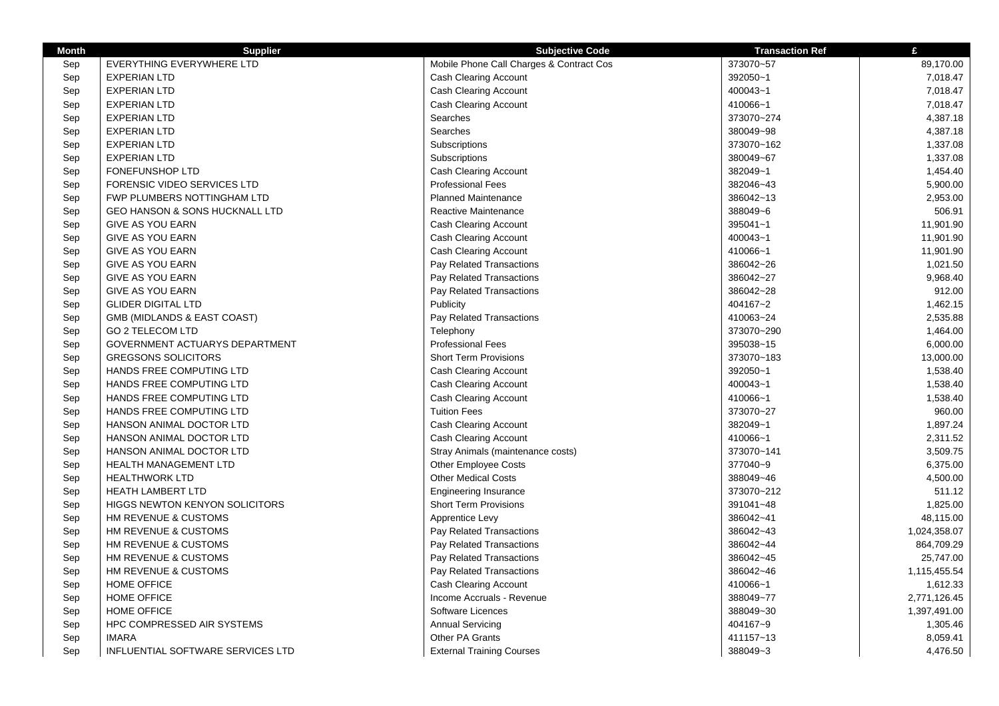| <b>Month</b> | <b>Supplier</b>                           | <b>Subjective Code</b>                   | <b>Transaction Ref</b> | £            |
|--------------|-------------------------------------------|------------------------------------------|------------------------|--------------|
| Sep          | EVERYTHING EVERYWHERE LTD                 | Mobile Phone Call Charges & Contract Cos | 373070~57              | 89,170.00    |
| Sep          | <b>EXPERIAN LTD</b>                       | <b>Cash Clearing Account</b>             | 392050~1               | 7,018.47     |
| Sep          | <b>EXPERIAN LTD</b>                       | <b>Cash Clearing Account</b>             | 400043~1               | 7,018.47     |
| Sep          | <b>EXPERIAN LTD</b>                       | <b>Cash Clearing Account</b>             | 410066~1               | 7,018.47     |
| Sep          | <b>EXPERIAN LTD</b>                       | Searches                                 | 373070~274             | 4,387.18     |
| Sep          | <b>EXPERIAN LTD</b>                       | Searches                                 | 380049~98              | 4,387.18     |
| Sep          | <b>EXPERIAN LTD</b>                       | Subscriptions                            | 373070~162             | 1,337.08     |
| Sep          | <b>EXPERIAN LTD</b>                       | Subscriptions                            | 380049~67              | 1,337.08     |
| Sep          | <b>FONEFUNSHOP LTD</b>                    | <b>Cash Clearing Account</b>             | 382049~1               | 1,454.40     |
| Sep          | <b>FORENSIC VIDEO SERVICES LTD</b>        | <b>Professional Fees</b>                 | 382046~43              | 5,900.00     |
| Sep          | FWP PLUMBERS NOTTINGHAM LTD               | <b>Planned Maintenance</b>               | 386042~13              | 2,953.00     |
| Sep          | <b>GEO HANSON &amp; SONS HUCKNALL LTD</b> | Reactive Maintenance                     | 388049~6               | 506.91       |
| Sep          | <b>GIVE AS YOU EARN</b>                   | <b>Cash Clearing Account</b>             | 395041~1               | 11,901.90    |
| Sep          | <b>GIVE AS YOU EARN</b>                   | <b>Cash Clearing Account</b>             | 400043~1               | 11,901.90    |
| Sep          | <b>GIVE AS YOU EARN</b>                   | <b>Cash Clearing Account</b>             | 410066~1               | 11,901.90    |
| Sep          | <b>GIVE AS YOU EARN</b>                   | Pay Related Transactions                 | 386042~26              | 1,021.50     |
| Sep          | <b>GIVE AS YOU EARN</b>                   | Pay Related Transactions                 | 386042~27              | 9,968.40     |
| Sep          | <b>GIVE AS YOU EARN</b>                   | Pay Related Transactions                 | 386042~28              | 912.00       |
| Sep          | <b>GLIDER DIGITAL LTD</b>                 | Publicity                                | 404167~2               | 1,462.15     |
| Sep          | GMB (MIDLANDS & EAST COAST)               | Pay Related Transactions                 | 410063~24              | 2,535.88     |
| Sep          | <b>GO 2 TELECOM LTD</b>                   | Telephony                                | 373070~290             | 1,464.00     |
| Sep          | GOVERNMENT ACTUARYS DEPARTMENT            | <b>Professional Fees</b>                 | 395038~15              | 6,000.00     |
| Sep          | <b>GREGSONS SOLICITORS</b>                | <b>Short Term Provisions</b>             | 373070~183             | 13,000.00    |
| Sep          | <b>HANDS FREE COMPUTING LTD</b>           | Cash Clearing Account                    | 392050~1               | 1,538.40     |
| Sep          | HANDS FREE COMPUTING LTD                  | Cash Clearing Account                    | 400043~1               | 1,538.40     |
| Sep          | HANDS FREE COMPUTING LTD                  | <b>Cash Clearing Account</b>             | 410066~1               | 1,538.40     |
| Sep          | HANDS FREE COMPUTING LTD                  | <b>Tuition Fees</b>                      | 373070~27              | 960.00       |
| Sep          | HANSON ANIMAL DOCTOR LTD                  | <b>Cash Clearing Account</b>             | 382049~1               | 1,897.24     |
| Sep          | HANSON ANIMAL DOCTOR LTD                  | <b>Cash Clearing Account</b>             | 410066~1               | 2,311.52     |
| Sep          | HANSON ANIMAL DOCTOR LTD                  | Stray Animals (maintenance costs)        | 373070~141             | 3,509.75     |
| Sep          | HEALTH MANAGEMENT LTD                     | Other Employee Costs                     | 377040~9               | 6,375.00     |
| Sep          | <b>HEALTHWORK LTD</b>                     | <b>Other Medical Costs</b>               | 388049~46              | 4,500.00     |
| Sep          | <b>HEATH LAMBERT LTD</b>                  | <b>Engineering Insurance</b>             | 373070~212             | 511.12       |
| Sep          | <b>HIGGS NEWTON KENYON SOLICITORS</b>     | <b>Short Term Provisions</b>             | 391041~48              | 1,825.00     |
| Sep          | HM REVENUE & CUSTOMS                      | Apprentice Levy                          | 386042~41              | 48,115.00    |
| Sep          | HM REVENUE & CUSTOMS                      | Pay Related Transactions                 | 386042~43              | 1,024,358.07 |
| Sep          | HM REVENUE & CUSTOMS                      | Pay Related Transactions                 | 386042~44              | 864,709.29   |
| Sep          | HM REVENUE & CUSTOMS                      | Pay Related Transactions                 | 386042~45              | 25,747.00    |
| Sep          | HM REVENUE & CUSTOMS                      | Pay Related Transactions                 | 386042~46              | 1,115,455.54 |
| Sep          | HOME OFFICE                               | <b>Cash Clearing Account</b>             | 410066~1               | 1,612.33     |
| Sep          | <b>HOME OFFICE</b>                        | Income Accruals - Revenue                | 388049~77              | 2,771,126.45 |
| Sep          | <b>HOME OFFICE</b>                        | Software Licences                        | 388049~30              | 1,397,491.00 |
| Sep          | HPC COMPRESSED AIR SYSTEMS                | <b>Annual Servicing</b>                  | 404167~9               | 1,305.46     |
| Sep          | <b>IMARA</b>                              | Other PA Grants                          | 411157~13              | 8,059.41     |
| Sep          | INFLUENTIAL SOFTWARE SERVICES LTD         | <b>External Training Courses</b>         | 388049~3               | 4,476.50     |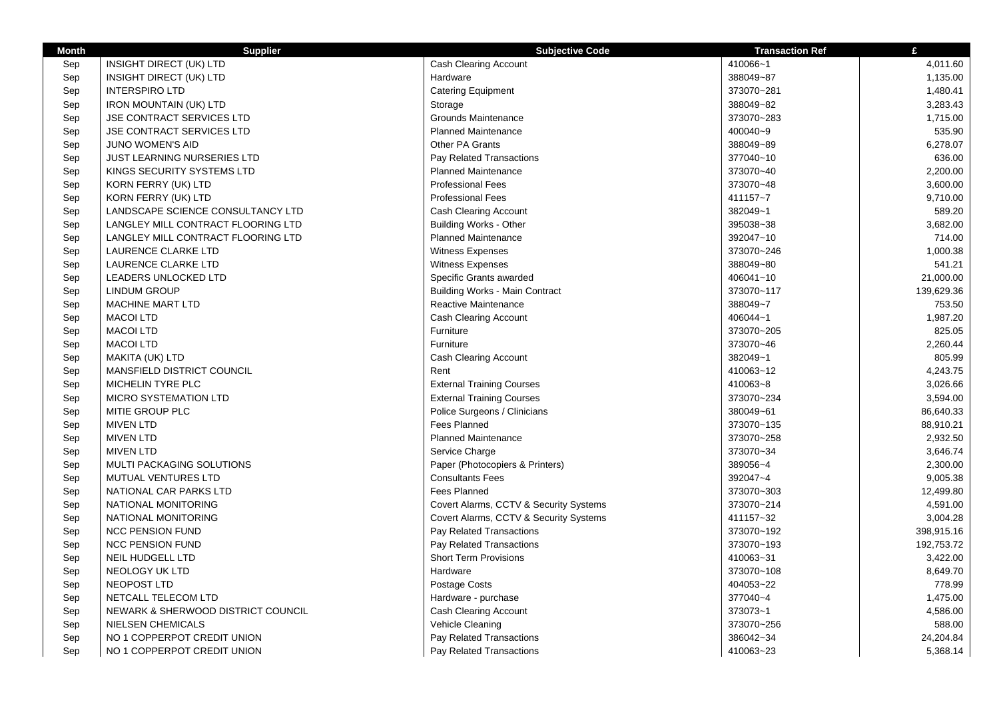| <b>Month</b> | <b>Supplier</b>                    | <b>Subjective Code</b>                 | <b>Transaction Ref</b> | £          |
|--------------|------------------------------------|----------------------------------------|------------------------|------------|
| Sep          | INSIGHT DIRECT (UK) LTD            | Cash Clearing Account                  | 410066~1               | 4,011.60   |
| Sep          | INSIGHT DIRECT (UK) LTD            | Hardware                               | 388049~87              | 1,135.00   |
| Sep          | <b>INTERSPIRO LTD</b>              | <b>Catering Equipment</b>              | 373070~281             | 1,480.41   |
| Sep          | <b>IRON MOUNTAIN (UK) LTD</b>      | Storage                                | 388049~82              | 3,283.43   |
| Sep          | JSE CONTRACT SERVICES LTD          | Grounds Maintenance                    | 373070~283             | 1,715.00   |
| Sep          | <b>JSE CONTRACT SERVICES LTD</b>   | <b>Planned Maintenance</b>             | 400040~9               | 535.90     |
| Sep          | <b>JUNO WOMEN'S AID</b>            | Other PA Grants                        | 388049~89              | 6,278.07   |
| Sep          | <b>JUST LEARNING NURSERIES LTD</b> | Pay Related Transactions               | 377040~10              | 636.00     |
| Sep          | KINGS SECURITY SYSTEMS LTD         | <b>Planned Maintenance</b>             | 373070~40              | 2,200.00   |
| Sep          | KORN FERRY (UK) LTD                | <b>Professional Fees</b>               | 373070~48              | 3,600.00   |
| Sep          | KORN FERRY (UK) LTD                | <b>Professional Fees</b>               | 411157~7               | 9,710.00   |
| Sep          | LANDSCAPE SCIENCE CONSULTANCY LTD  | <b>Cash Clearing Account</b>           | 382049~1               | 589.20     |
| Sep          | LANGLEY MILL CONTRACT FLOORING LTD | <b>Building Works - Other</b>          | 395038~38              | 3,682.00   |
| Sep          | LANGLEY MILL CONTRACT FLOORING LTD | <b>Planned Maintenance</b>             | 392047~10              | 714.00     |
| Sep          | LAURENCE CLARKE LTD                | <b>Witness Expenses</b>                | 373070~246             | 1,000.38   |
| Sep          | LAURENCE CLARKE LTD                | <b>Witness Expenses</b>                | 388049~80              | 541.21     |
| Sep          | LEADERS UNLOCKED LTD               | Specific Grants awarded                | 406041~10              | 21,000.00  |
| Sep          | <b>LINDUM GROUP</b>                | <b>Building Works - Main Contract</b>  | 373070~117             | 139,629.36 |
| Sep          | <b>MACHINE MART LTD</b>            | Reactive Maintenance                   | 388049~7               | 753.50     |
| Sep          | <b>MACOI LTD</b>                   | Cash Clearing Account                  | 406044~1               | 1,987.20   |
| Sep          | <b>MACOI LTD</b>                   | Furniture                              | 373070~205             | 825.05     |
| Sep          | <b>MACOI LTD</b>                   | Furniture                              | 373070~46              | 2,260.44   |
| Sep          | MAKITA (UK) LTD                    | Cash Clearing Account                  | 382049~1               | 805.99     |
| Sep          | MANSFIELD DISTRICT COUNCIL         | Rent                                   | 410063~12              | 4,243.75   |
| Sep          | MICHELIN TYRE PLC                  | <b>External Training Courses</b>       | 410063~8               | 3,026.66   |
| Sep          | MICRO SYSTEMATION LTD              | <b>External Training Courses</b>       | 373070~234             | 3,594.00   |
| Sep          | MITIE GROUP PLC                    | Police Surgeons / Clinicians           | 380049~61              | 86,640.33  |
| Sep          | <b>MIVEN LTD</b>                   | Fees Planned                           | 373070~135             | 88,910.21  |
| Sep          | <b>MIVEN LTD</b>                   | <b>Planned Maintenance</b>             | 373070~258             | 2,932.50   |
| Sep          | <b>MIVEN LTD</b>                   | Service Charge                         | 373070~34              | 3,646.74   |
| Sep          | MULTI PACKAGING SOLUTIONS          | Paper (Photocopiers & Printers)        | 389056~4               | 2,300.00   |
| Sep          | <b>MUTUAL VENTURES LTD</b>         | <b>Consultants Fees</b>                | 392047~4               | 9,005.38   |
| Sep          | NATIONAL CAR PARKS LTD             | Fees Planned                           | 373070~303             | 12,499.80  |
| Sep          | NATIONAL MONITORING                | Covert Alarms, CCTV & Security Systems | 373070~214             | 4,591.00   |
| Sep          | NATIONAL MONITORING                | Covert Alarms, CCTV & Security Systems | 411157~32              | 3,004.28   |
| Sep          | <b>NCC PENSION FUND</b>            | Pay Related Transactions               | 373070~192             | 398,915.16 |
| Sep          | <b>NCC PENSION FUND</b>            | Pay Related Transactions               | 373070~193             | 192,753.72 |
| Sep          | <b>NEIL HUDGELL LTD</b>            | <b>Short Term Provisions</b>           | 410063~31              | 3,422.00   |
| Sep          | <b>NEOLOGY UK LTD</b>              | Hardware                               | 373070~108             | 8,649.70   |
| Sep          | NEOPOST LTD                        | Postage Costs                          | 404053~22              | 778.99     |
| Sep          | NETCALL TELECOM LTD                | Hardware - purchase                    | 377040~4               | 1,475.00   |
| Sep          | NEWARK & SHERWOOD DISTRICT COUNCIL | <b>Cash Clearing Account</b>           | 373073~1               | 4,586.00   |
| Sep          | <b>NIELSEN CHEMICALS</b>           | Vehicle Cleaning                       | 373070~256             | 588.00     |
| Sep          | NO 1 COPPERPOT CREDIT UNION        | Pay Related Transactions               | 386042~34              | 24,204.84  |
| Sep          | NO 1 COPPERPOT CREDIT UNION        | Pay Related Transactions               | 410063~23              | 5,368.14   |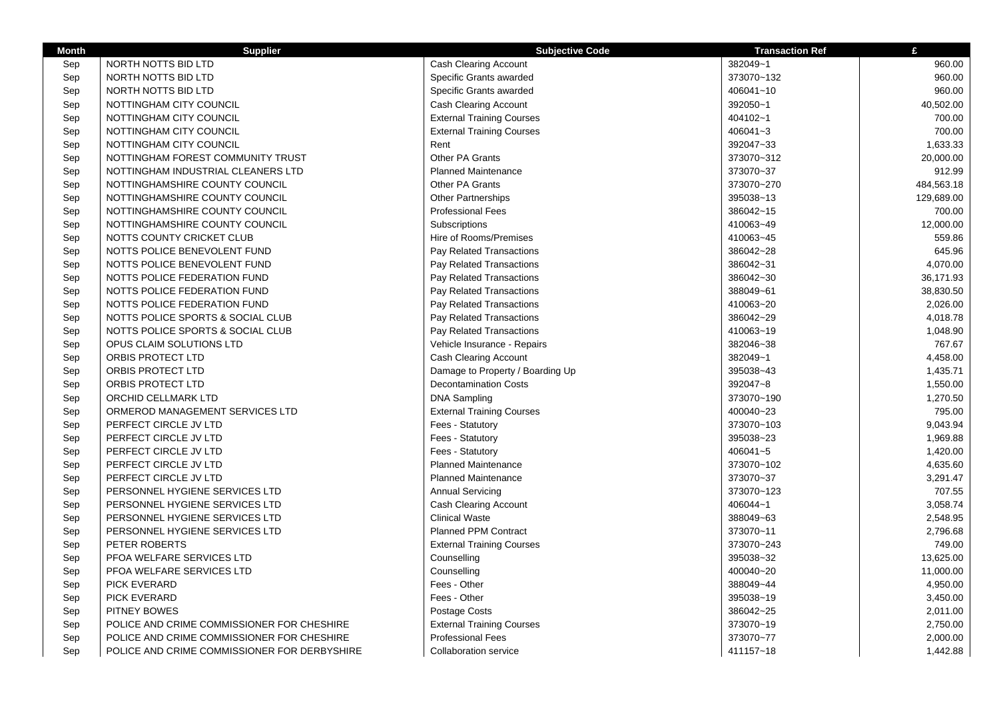| <b>Month</b> | <b>Supplier</b>                              | <b>Subjective Code</b>           | <b>Transaction Ref</b> | £          |
|--------------|----------------------------------------------|----------------------------------|------------------------|------------|
| Sep          | NORTH NOTTS BID LTD                          | Cash Clearing Account            | 382049~1               | 960.00     |
| Sep          | NORTH NOTTS BID LTD                          | Specific Grants awarded          | 373070~132             | 960.00     |
| Sep          | NORTH NOTTS BID LTD                          | Specific Grants awarded          | 406041~10              | 960.00     |
| Sep          | NOTTINGHAM CITY COUNCIL                      | Cash Clearing Account            | 392050~1               | 40,502.00  |
| Sep          | NOTTINGHAM CITY COUNCIL                      | <b>External Training Courses</b> | 404102~1               | 700.00     |
| Sep          | NOTTINGHAM CITY COUNCIL                      | <b>External Training Courses</b> | $406041 - 3$           | 700.00     |
| Sep          | NOTTINGHAM CITY COUNCIL                      | Rent                             | 392047~33              | 1,633.33   |
| Sep          | NOTTINGHAM FOREST COMMUNITY TRUST            | <b>Other PA Grants</b>           | 373070~312             | 20,000.00  |
| Sep          | NOTTINGHAM INDUSTRIAL CLEANERS LTD           | <b>Planned Maintenance</b>       | 373070~37              | 912.99     |
| Sep          | NOTTINGHAMSHIRE COUNTY COUNCIL               | <b>Other PA Grants</b>           | 373070~270             | 484,563.18 |
| Sep          | NOTTINGHAMSHIRE COUNTY COUNCIL               | <b>Other Partnerships</b>        | 395038~13              | 129,689.00 |
| Sep          | NOTTINGHAMSHIRE COUNTY COUNCIL               | <b>Professional Fees</b>         | 386042~15              | 700.00     |
| Sep          | NOTTINGHAMSHIRE COUNTY COUNCIL               | Subscriptions                    | 410063~49              | 12,000.00  |
| Sep          | NOTTS COUNTY CRICKET CLUB                    | Hire of Rooms/Premises           | 410063~45              | 559.86     |
| Sep          | NOTTS POLICE BENEVOLENT FUND                 | Pay Related Transactions         | 386042~28              | 645.96     |
| Sep          | NOTTS POLICE BENEVOLENT FUND                 | Pay Related Transactions         | 386042~31              | 4,070.00   |
| Sep          | NOTTS POLICE FEDERATION FUND                 | Pay Related Transactions         | 386042~30              | 36,171.93  |
| Sep          | NOTTS POLICE FEDERATION FUND                 | Pay Related Transactions         | 388049~61              | 38,830.50  |
| Sep          | NOTTS POLICE FEDERATION FUND                 | Pay Related Transactions         | 410063~20              | 2,026.00   |
| Sep          | NOTTS POLICE SPORTS & SOCIAL CLUB            | Pay Related Transactions         | 386042~29              | 4,018.78   |
| Sep          | NOTTS POLICE SPORTS & SOCIAL CLUB            | Pay Related Transactions         | 410063~19              | 1,048.90   |
| Sep          | OPUS CLAIM SOLUTIONS LTD                     | Vehicle Insurance - Repairs      | 382046~38              | 767.67     |
| Sep          | ORBIS PROTECT LTD                            | <b>Cash Clearing Account</b>     | 382049~1               | 4,458.00   |
| Sep          | ORBIS PROTECT LTD                            | Damage to Property / Boarding Up | 395038~43              | 1,435.71   |
| Sep          | ORBIS PROTECT LTD                            | <b>Decontamination Costs</b>     | 392047~8               | 1,550.00   |
| Sep          | ORCHID CELLMARK LTD                          | <b>DNA Sampling</b>              | 373070~190             | 1,270.50   |
| Sep          | ORMEROD MANAGEMENT SERVICES LTD              | <b>External Training Courses</b> | 400040~23              | 795.00     |
| Sep          | PERFECT CIRCLE JV LTD                        | Fees - Statutory                 | 373070~103             | 9,043.94   |
| Sep          | PERFECT CIRCLE JV LTD                        | Fees - Statutory                 | 395038~23              | 1,969.88   |
| Sep          | PERFECT CIRCLE JV LTD                        | Fees - Statutory                 | 406041~5               | 1,420.00   |
| Sep          | PERFECT CIRCLE JV LTD                        | <b>Planned Maintenance</b>       | 373070~102             | 4,635.60   |
| Sep          | PERFECT CIRCLE JV LTD                        | <b>Planned Maintenance</b>       | 373070~37              | 3,291.47   |
| Sep          | PERSONNEL HYGIENE SERVICES LTD               | <b>Annual Servicing</b>          | 373070~123             | 707.55     |
| Sep          | PERSONNEL HYGIENE SERVICES LTD               | Cash Clearing Account            | 406044~1               | 3,058.74   |
| Sep          | PERSONNEL HYGIENE SERVICES LTD               | <b>Clinical Waste</b>            | 388049~63              | 2,548.95   |
| Sep          | PERSONNEL HYGIENE SERVICES LTD               | <b>Planned PPM Contract</b>      | 373070~11              | 2,796.68   |
| Sep          | PETER ROBERTS                                | <b>External Training Courses</b> | 373070~243             | 749.00     |
| Sep          | PFOA WELFARE SERVICES LTD                    | Counselling                      | 395038~32              | 13,625.00  |
| Sep          | PFOA WELFARE SERVICES LTD                    | Counselling                      | 400040~20              | 11,000.00  |
| Sep          | <b>PICK EVERARD</b>                          | Fees - Other                     | 388049~44              | 4,950.00   |
| Sep          | <b>PICK EVERARD</b>                          | Fees - Other                     | 395038~19              | 3,450.00   |
| Sep          | PITNEY BOWES                                 | Postage Costs                    | 386042~25              | 2,011.00   |
| Sep          | POLICE AND CRIME COMMISSIONER FOR CHESHIRE   | <b>External Training Courses</b> | 373070~19              | 2,750.00   |
| Sep          | POLICE AND CRIME COMMISSIONER FOR CHESHIRE   | <b>Professional Fees</b>         | 373070~77              | 2,000.00   |
| Sep          | POLICE AND CRIME COMMISSIONER FOR DERBYSHIRE | <b>Collaboration service</b>     | 411157~18              | 1,442.88   |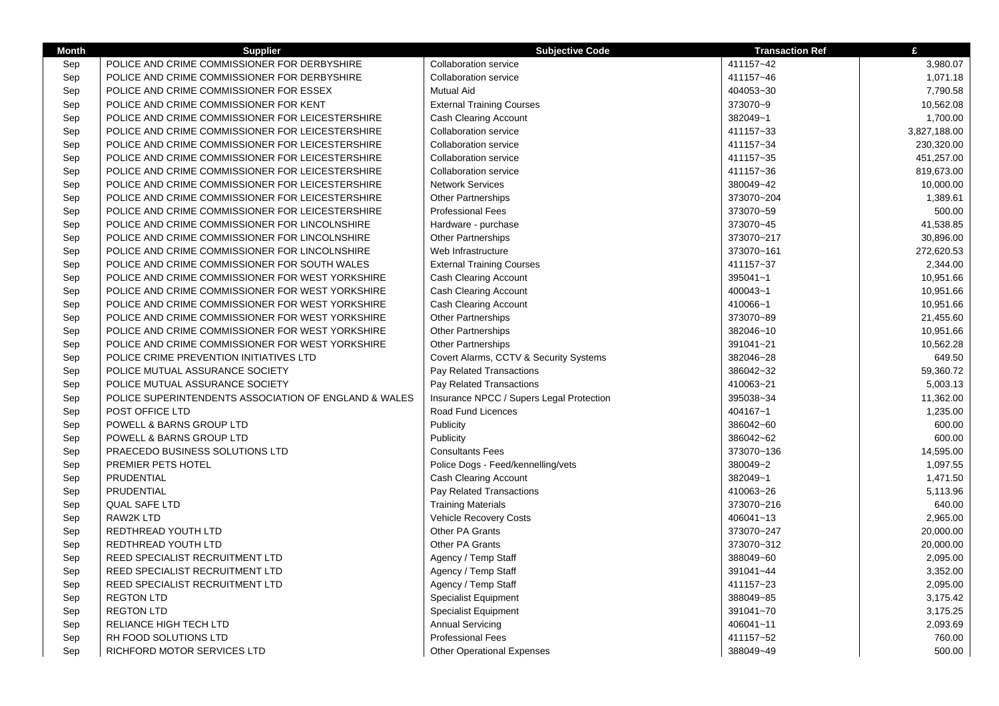| <b>Month</b> | <b>Supplier</b>                                       | <b>Subjective Code</b>                   | <b>Transaction Ref</b> | £            |
|--------------|-------------------------------------------------------|------------------------------------------|------------------------|--------------|
| Sep          | POLICE AND CRIME COMMISSIONER FOR DERBYSHIRE          | <b>Collaboration service</b>             | 411157~42              | 3,980.07     |
| Sep          | POLICE AND CRIME COMMISSIONER FOR DERBYSHIRE          | <b>Collaboration service</b>             | 411157~46              | 1,071.18     |
| Sep          | POLICE AND CRIME COMMISSIONER FOR ESSEX               | Mutual Aid                               | 404053~30              | 7,790.58     |
| Sep          | POLICE AND CRIME COMMISSIONER FOR KENT                | <b>External Training Courses</b>         | 373070~9               | 10,562.08    |
| Sep          | POLICE AND CRIME COMMISSIONER FOR LEICESTERSHIRE      | <b>Cash Clearing Account</b>             | 382049~1               | 1,700.00     |
| Sep          | POLICE AND CRIME COMMISSIONER FOR LEICESTERSHIRE      | <b>Collaboration service</b>             | 411157~33              | 3,827,188.00 |
| Sep          | POLICE AND CRIME COMMISSIONER FOR LEICESTERSHIRE      | <b>Collaboration service</b>             | 411157~34              | 230,320.00   |
| Sep          | POLICE AND CRIME COMMISSIONER FOR LEICESTERSHIRE      | <b>Collaboration service</b>             | 411157~35              | 451,257.00   |
| Sep          | POLICE AND CRIME COMMISSIONER FOR LEICESTERSHIRE      | <b>Collaboration service</b>             | 411157~36              | 819,673.00   |
| Sep          | POLICE AND CRIME COMMISSIONER FOR LEICESTERSHIRE      | <b>Network Services</b>                  | 380049~42              | 10,000.00    |
| Sep          | POLICE AND CRIME COMMISSIONER FOR LEICESTERSHIRE      | <b>Other Partnerships</b>                | 373070~204             | 1,389.61     |
| Sep          | POLICE AND CRIME COMMISSIONER FOR LEICESTERSHIRE      | <b>Professional Fees</b>                 | 373070~59              | 500.00       |
| Sep          | POLICE AND CRIME COMMISSIONER FOR LINCOLNSHIRE        | Hardware - purchase                      | 373070~45              | 41,538.85    |
| Sep          | POLICE AND CRIME COMMISSIONER FOR LINCOLNSHIRE        | <b>Other Partnerships</b>                | 373070~217             | 30,896.00    |
| Sep          | POLICE AND CRIME COMMISSIONER FOR LINCOLNSHIRE        | Web Infrastructure                       | 373070~161             | 272,620.53   |
| Sep          | POLICE AND CRIME COMMISSIONER FOR SOUTH WALES         | <b>External Training Courses</b>         | 411157~37              | 2,344.00     |
| Sep          | POLICE AND CRIME COMMISSIONER FOR WEST YORKSHIRE      | Cash Clearing Account                    | 395041~1               | 10,951.66    |
| Sep          | POLICE AND CRIME COMMISSIONER FOR WEST YORKSHIRE      | <b>Cash Clearing Account</b>             | 400043~1               | 10,951.66    |
| Sep          | POLICE AND CRIME COMMISSIONER FOR WEST YORKSHIRE      | <b>Cash Clearing Account</b>             | 410066~1               | 10,951.66    |
| Sep          | POLICE AND CRIME COMMISSIONER FOR WEST YORKSHIRE      | <b>Other Partnerships</b>                | 373070~89              | 21,455.60    |
| Sep          | POLICE AND CRIME COMMISSIONER FOR WEST YORKSHIRE      | <b>Other Partnerships</b>                | 382046~10              | 10,951.66    |
| Sep          | POLICE AND CRIME COMMISSIONER FOR WEST YORKSHIRE      | <b>Other Partnerships</b>                | 391041~21              | 10,562.28    |
| Sep          | POLICE CRIME PREVENTION INITIATIVES LTD               | Covert Alarms, CCTV & Security Systems   | 382046~28              | 649.50       |
| Sep          | POLICE MUTUAL ASSURANCE SOCIETY                       | Pay Related Transactions                 | 386042~32              | 59,360.72    |
| Sep          | POLICE MUTUAL ASSURANCE SOCIETY                       | Pay Related Transactions                 | 410063~21              | 5,003.13     |
| Sep          | POLICE SUPERINTENDENTS ASSOCIATION OF ENGLAND & WALES | Insurance NPCC / Supers Legal Protection | 395038~34              | 11,362.00    |
| Sep          | POST OFFICE LTD                                       | Road Fund Licences                       | 404167~1               | 1,235.00     |
| Sep          | POWELL & BARNS GROUP LTD                              | Publicity                                | 386042~60              | 600.00       |
| Sep          | POWELL & BARNS GROUP LTD                              | Publicity                                | 386042~62              | 600.00       |
| Sep          | PRAECEDO BUSINESS SOLUTIONS LTD                       | <b>Consultants Fees</b>                  | 373070~136             | 14,595.00    |
| Sep          | PREMIER PETS HOTEL                                    | Police Dogs - Feed/kennelling/vets       | 380049~2               | 1,097.55     |
| Sep          | PRUDENTIAL                                            | Cash Clearing Account                    | 382049~1               | 1,471.50     |
| Sep          | PRUDENTIAL                                            | Pay Related Transactions                 | 410063~26              | 5,113.96     |
| Sep          | <b>QUAL SAFE LTD</b>                                  | <b>Training Materials</b>                | 373070~216             | 640.00       |
| Sep          | <b>RAW2K LTD</b>                                      | <b>Vehicle Recovery Costs</b>            | 406041~13              | 2,965.00     |
| Sep          | REDTHREAD YOUTH LTD                                   | Other PA Grants                          | 373070~247             | 20,000.00    |
| Sep          | REDTHREAD YOUTH LTD                                   | Other PA Grants                          | 373070~312             | 20,000.00    |
| Sep          | REED SPECIALIST RECRUITMENT LTD                       | Agency / Temp Staff                      | 388049~60              | 2,095.00     |
| Sep          | REED SPECIALIST RECRUITMENT LTD                       | Agency / Temp Staff                      | 391041~44              | 3,352.00     |
| Sep          | REED SPECIALIST RECRUITMENT LTD                       | Agency / Temp Staff                      | 411157~23              | 2,095.00     |
| Sep          | <b>REGTON LTD</b>                                     | <b>Specialist Equipment</b>              | 388049~85              | 3,175.42     |
| Sep          | <b>REGTON LTD</b>                                     | <b>Specialist Equipment</b>              | 391041~70              | 3,175.25     |
| Sep          | RELIANCE HIGH TECH LTD                                | <b>Annual Servicing</b>                  | 406041~11              | 2,093.69     |
| Sep          | RH FOOD SOLUTIONS LTD                                 | Professional Fees                        | 411157~52              | 760.00       |
| Sep          | RICHFORD MOTOR SERVICES LTD                           | <b>Other Operational Expenses</b>        | 388049~49              | 500.00       |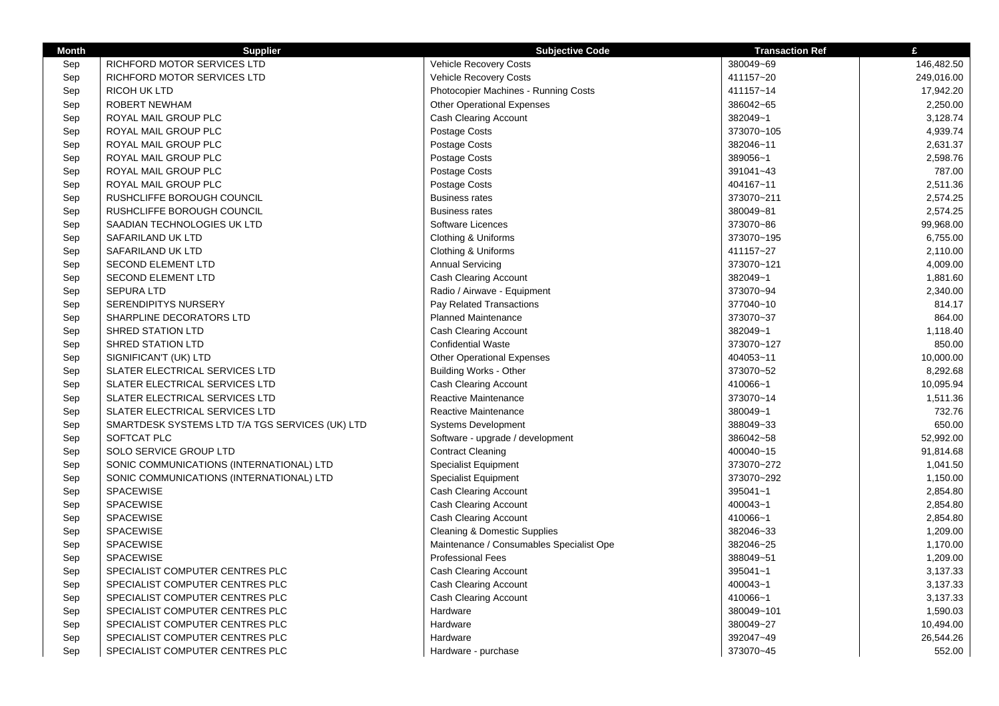| <b>Month</b> | <b>Supplier</b>                                 | <b>Subjective Code</b>                   | <b>Transaction Ref</b> | £          |
|--------------|-------------------------------------------------|------------------------------------------|------------------------|------------|
| Sep          | <b>RICHFORD MOTOR SERVICES LTD</b>              | Vehicle Recovery Costs                   | 380049~69              | 146,482.50 |
| Sep          | RICHFORD MOTOR SERVICES LTD                     | Vehicle Recovery Costs                   | 411157~20              | 249,016.00 |
| Sep          | RICOH UK LTD                                    | Photocopier Machines - Running Costs     | 411157~14              | 17,942.20  |
| Sep          | <b>ROBERT NEWHAM</b>                            | <b>Other Operational Expenses</b>        | 386042~65              | 2,250.00   |
| Sep          | ROYAL MAIL GROUP PLC                            | <b>Cash Clearing Account</b>             | 382049~1               | 3,128.74   |
| Sep          | ROYAL MAIL GROUP PLC                            | Postage Costs                            | 373070~105             | 4,939.74   |
| Sep          | ROYAL MAIL GROUP PLC                            | Postage Costs                            | 382046~11              | 2,631.37   |
| Sep          | ROYAL MAIL GROUP PLC                            | Postage Costs                            | 389056~1               | 2,598.76   |
| Sep          | ROYAL MAIL GROUP PLC                            | Postage Costs                            | 391041~43              | 787.00     |
| Sep          | ROYAL MAIL GROUP PLC                            | Postage Costs                            | 404167~11              | 2,511.36   |
| Sep          | RUSHCLIFFE BOROUGH COUNCIL                      | <b>Business rates</b>                    | 373070~211             | 2,574.25   |
| Sep          | RUSHCLIFFE BOROUGH COUNCIL                      | <b>Business rates</b>                    | 380049~81              | 2,574.25   |
| Sep          | SAADIAN TECHNOLOGIES UK LTD                     | Software Licences                        | 373070~86              | 99,968.00  |
| Sep          | SAFARILAND UK LTD                               | Clothing & Uniforms                      | 373070~195             | 6,755.00   |
| Sep          | SAFARILAND UK LTD                               | Clothing & Uniforms                      | 411157~27              | 2,110.00   |
| Sep          | <b>SECOND ELEMENT LTD</b>                       | <b>Annual Servicing</b>                  | 373070~121             | 4,009.00   |
| Sep          | <b>SECOND ELEMENT LTD</b>                       | <b>Cash Clearing Account</b>             | 382049~1               | 1,881.60   |
| Sep          | <b>SEPURA LTD</b>                               | Radio / Airwave - Equipment              | 373070~94              | 2,340.00   |
| Sep          | <b>SERENDIPITYS NURSERY</b>                     | Pay Related Transactions                 | 377040~10              | 814.17     |
| Sep          | SHARPLINE DECORATORS LTD                        | <b>Planned Maintenance</b>               | 373070~37              | 864.00     |
| Sep          | <b>SHRED STATION LTD</b>                        | <b>Cash Clearing Account</b>             | 382049~1               | 1,118.40   |
| Sep          | <b>SHRED STATION LTD</b>                        | <b>Confidential Waste</b>                | 373070~127             | 850.00     |
| Sep          | SIGNIFICAN'T (UK) LTD                           | <b>Other Operational Expenses</b>        | 404053~11              | 10,000.00  |
| Sep          | SLATER ELECTRICAL SERVICES LTD                  | <b>Building Works - Other</b>            | 373070~52              | 8,292.68   |
| Sep          | SLATER ELECTRICAL SERVICES LTD                  | <b>Cash Clearing Account</b>             | 410066~1               | 10,095.94  |
| Sep          | SLATER ELECTRICAL SERVICES LTD                  | Reactive Maintenance                     | 373070~14              | 1,511.36   |
| Sep          | SLATER ELECTRICAL SERVICES LTD                  | Reactive Maintenance                     | 380049~1               | 732.76     |
| Sep          | SMARTDESK SYSTEMS LTD T/A TGS SERVICES (UK) LTD | <b>Systems Development</b>               | 388049~33              | 650.00     |
| Sep          | SOFTCAT PLC                                     | Software - upgrade / development         | 386042~58              | 52,992.00  |
| Sep          | SOLO SERVICE GROUP LTD                          | <b>Contract Cleaning</b>                 | 400040~15              | 91,814.68  |
| Sep          | SONIC COMMUNICATIONS (INTERNATIONAL) LTD        | <b>Specialist Equipment</b>              | 373070~272             | 1,041.50   |
| Sep          | SONIC COMMUNICATIONS (INTERNATIONAL) LTD        | <b>Specialist Equipment</b>              | 373070~292             | 1,150.00   |
| Sep          | SPACEWISE                                       | <b>Cash Clearing Account</b>             | 395041~1               | 2,854.80   |
| Sep          | SPACEWISE                                       | Cash Clearing Account                    | 400043~1               | 2,854.80   |
| Sep          | SPACEWISE                                       | <b>Cash Clearing Account</b>             | 410066~1               | 2,854.80   |
| Sep          | SPACEWISE                                       | <b>Cleaning &amp; Domestic Supplies</b>  | 382046~33              | 1,209.00   |
| Sep          | <b>SPACEWISE</b>                                | Maintenance / Consumables Specialist Ope | 382046~25              | 1,170.00   |
| Sep          | <b>SPACEWISE</b>                                | <b>Professional Fees</b>                 | 388049~51              | 1,209.00   |
| Sep          | SPECIALIST COMPUTER CENTRES PLC                 | Cash Clearing Account                    | 395041~1               | 3,137.33   |
| Sep          | SPECIALIST COMPUTER CENTRES PLC                 | <b>Cash Clearing Account</b>             | 400043~1               | 3,137.33   |
| Sep          | SPECIALIST COMPUTER CENTRES PLC                 | <b>Cash Clearing Account</b>             | 410066~1               | 3,137.33   |
| Sep          | SPECIALIST COMPUTER CENTRES PLC                 | Hardware                                 | 380049~101             | 1,590.03   |
| Sep          | SPECIALIST COMPUTER CENTRES PLC                 | Hardware                                 | 380049~27              | 10,494.00  |
| Sep          | SPECIALIST COMPUTER CENTRES PLC                 | Hardware                                 | 392047~49              | 26,544.26  |
| Sep          | SPECIALIST COMPUTER CENTRES PLC                 | Hardware - purchase                      | 373070~45              | 552.00     |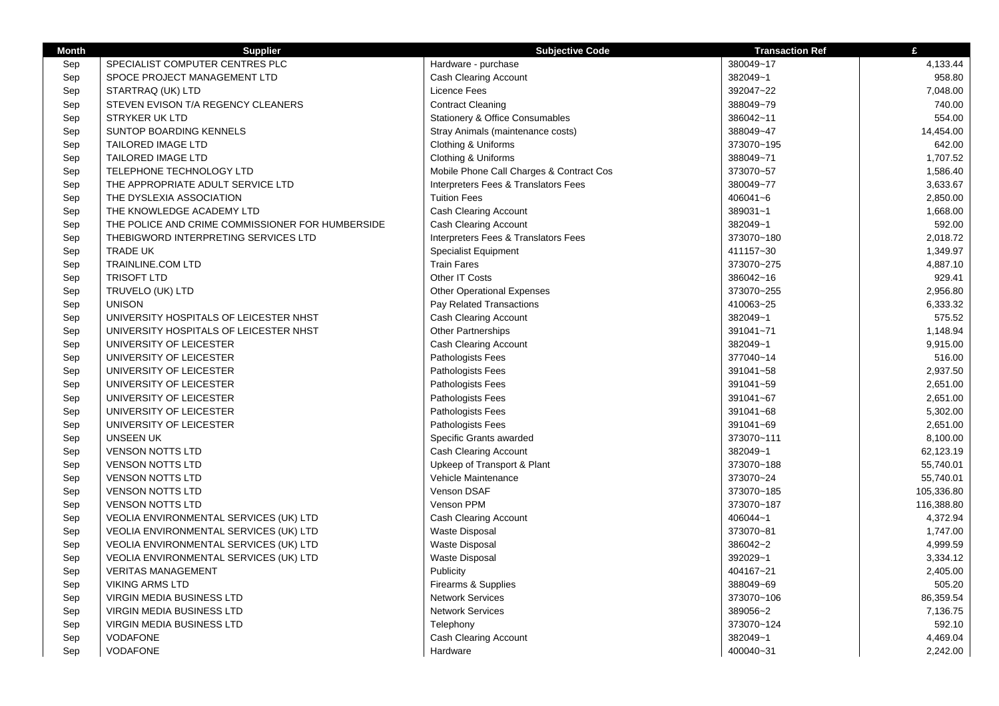| <b>Month</b> | <b>Supplier</b>                                  | <b>Subjective Code</b>                   | <b>Transaction Ref</b> | £          |
|--------------|--------------------------------------------------|------------------------------------------|------------------------|------------|
| Sep          | SPECIALIST COMPUTER CENTRES PLC                  | Hardware - purchase                      | 380049~17              | 4,133.44   |
| Sep          | SPOCE PROJECT MANAGEMENT LTD                     | Cash Clearing Account                    | 382049~1               | 958.80     |
| Sep          | STARTRAQ (UK) LTD                                | Licence Fees                             | 392047~22              | 7,048.00   |
| Sep          | STEVEN EVISON T/A REGENCY CLEANERS               | <b>Contract Cleaning</b>                 | 388049~79              | 740.00     |
| Sep          | <b>STRYKER UK LTD</b>                            | Stationery & Office Consumables          | 386042~11              | 554.00     |
| Sep          | SUNTOP BOARDING KENNELS                          | Stray Animals (maintenance costs)        | 388049~47              | 14,454.00  |
| Sep          | <b>TAILORED IMAGE LTD</b>                        | Clothing & Uniforms                      | 373070~195             | 642.00     |
| Sep          | <b>TAILORED IMAGE LTD</b>                        | Clothing & Uniforms                      | 388049~71              | 1,707.52   |
| Sep          | <b>TELEPHONE TECHNOLOGY LTD</b>                  | Mobile Phone Call Charges & Contract Cos | 373070~57              | 1,586.40   |
| Sep          | THE APPROPRIATE ADULT SERVICE LTD                | Interpreters Fees & Translators Fees     | 380049~77              | 3,633.67   |
| Sep          | THE DYSLEXIA ASSOCIATION                         | <b>Tuition Fees</b>                      | 406041~6               | 2,850.00   |
| Sep          | THE KNOWLEDGE ACADEMY LTD                        | Cash Clearing Account                    | 389031~1               | 1,668.00   |
| Sep          | THE POLICE AND CRIME COMMISSIONER FOR HUMBERSIDE | <b>Cash Clearing Account</b>             | 382049~1               | 592.00     |
| Sep          | THEBIGWORD INTERPRETING SERVICES LTD             | Interpreters Fees & Translators Fees     | 373070~180             | 2,018.72   |
| Sep          | <b>TRADE UK</b>                                  | <b>Specialist Equipment</b>              | 411157~30              | 1,349.97   |
| Sep          | <b>TRAINLINE.COM LTD</b>                         | <b>Train Fares</b>                       | 373070~275             | 4,887.10   |
| Sep          | <b>TRISOFT LTD</b>                               | Other IT Costs                           | 386042~16              | 929.41     |
| Sep          | TRUVELO (UK) LTD                                 | <b>Other Operational Expenses</b>        | 373070~255             | 2,956.80   |
| Sep          | <b>UNISON</b>                                    | Pay Related Transactions                 | 410063~25              | 6,333.32   |
| Sep          | UNIVERSITY HOSPITALS OF LEICESTER NHST           | Cash Clearing Account                    | 382049~1               | 575.52     |
| Sep          | UNIVERSITY HOSPITALS OF LEICESTER NHST           | <b>Other Partnerships</b>                | 391041~71              | 1,148.94   |
| Sep          | UNIVERSITY OF LEICESTER                          | <b>Cash Clearing Account</b>             | 382049~1               | 9,915.00   |
| Sep          | UNIVERSITY OF LEICESTER                          | Pathologists Fees                        | 377040~14              | 516.00     |
| Sep          | UNIVERSITY OF LEICESTER                          | Pathologists Fees                        | 391041~58              | 2,937.50   |
| Sep          | UNIVERSITY OF LEICESTER                          | Pathologists Fees                        | 391041~59              | 2,651.00   |
| Sep          | UNIVERSITY OF LEICESTER                          | Pathologists Fees                        | 391041~67              | 2,651.00   |
| Sep          | UNIVERSITY OF LEICESTER                          | Pathologists Fees                        | 391041~68              | 5,302.00   |
| Sep          | UNIVERSITY OF LEICESTER                          | Pathologists Fees                        | 391041~69              | 2,651.00   |
| Sep          | <b>UNSEEN UK</b>                                 | Specific Grants awarded                  | 373070~111             | 8,100.00   |
| Sep          | <b>VENSON NOTTS LTD</b>                          | <b>Cash Clearing Account</b>             | 382049~1               | 62,123.19  |
| Sep          | <b>VENSON NOTTS LTD</b>                          | Upkeep of Transport & Plant              | 373070~188             | 55,740.01  |
| Sep          | <b>VENSON NOTTS LTD</b>                          | Vehicle Maintenance                      | 373070~24              | 55,740.01  |
| Sep          | <b>VENSON NOTTS LTD</b>                          | Venson DSAF                              | 373070~185             | 105,336.80 |
| Sep          | <b>VENSON NOTTS LTD</b>                          | Venson PPM                               | 373070~187             | 116,388.80 |
| Sep          | VEOLIA ENVIRONMENTAL SERVICES (UK) LTD           | <b>Cash Clearing Account</b>             | 406044~1               | 4,372.94   |
| Sep          | VEOLIA ENVIRONMENTAL SERVICES (UK) LTD           | <b>Waste Disposal</b>                    | 373070~81              | 1,747.00   |
| Sep          | VEOLIA ENVIRONMENTAL SERVICES (UK) LTD           | <b>Waste Disposal</b>                    | 386042~2               | 4,999.59   |
| Sep          | VEOLIA ENVIRONMENTAL SERVICES (UK) LTD           | <b>Waste Disposal</b>                    | 392029~1               | 3,334.12   |
| Sep          | <b>VERITAS MANAGEMENT</b>                        | Publicity                                | 404167~21              | 2,405.00   |
| Sep          | <b>VIKING ARMS LTD</b>                           | Firearms & Supplies                      | 388049~69              | 505.20     |
| Sep          | <b>VIRGIN MEDIA BUSINESS LTD</b>                 | <b>Network Services</b>                  | 373070~106             | 86,359.54  |
| Sep          | <b>VIRGIN MEDIA BUSINESS LTD</b>                 | <b>Network Services</b>                  | 389056~2               | 7,136.75   |
| Sep          | <b>VIRGIN MEDIA BUSINESS LTD</b>                 | Telephony                                | 373070~124             | 592.10     |
| Sep          | <b>VODAFONE</b>                                  | Cash Clearing Account                    | 382049~1               | 4,469.04   |
| Sep          | <b>VODAFONE</b>                                  | Hardware                                 | 400040~31              | 2,242.00   |